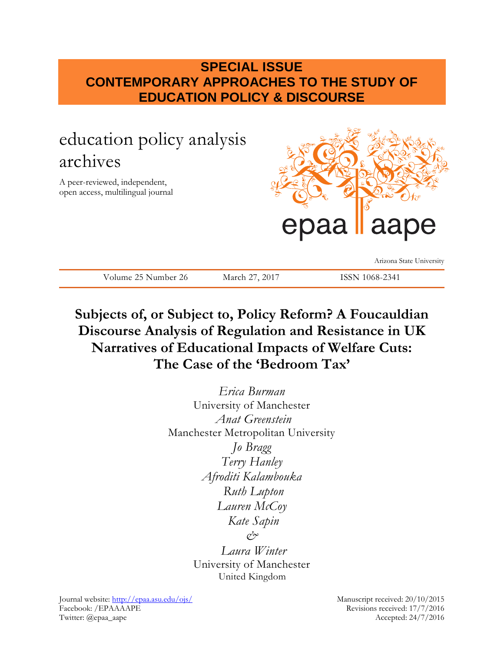# **SPECIAL ISSUE CONTEMPORARY APPROACHES TO THE STUDY OF EDUCATION POLICY & DISCOURSE**

# education policy analysis archives

A peer-reviewed, independent, open access, multilingual journal



Arizona State University

Volume 25 Number 26 March 27, 2017 ISSN 1068-2341

# **Subjects of, or Subject to, Policy Reform? A Foucauldian Discourse Analysis of Regulation and Resistance in UK Narratives of Educational Impacts of Welfare Cuts: The Case of the 'Bedroom Tax'**

*Erica Burman* University of Manchester *Anat Greenstein* Manchester Metropolitan University *Jo Bragg Terry Hanley Afroditi Kalambouka Ruth Lupton Lauren McCoy Kate Sapin & Laura Winter* University of Manchester United Kingdom

Journal website:<http://epaa.asu.edu/ojs/> Manuscript received: 20/10/2015 Facebook: /EPAAAAPE Revisions received: 17/7/2016 Twitter: @epaa\_aape Accepted: 24/7/2016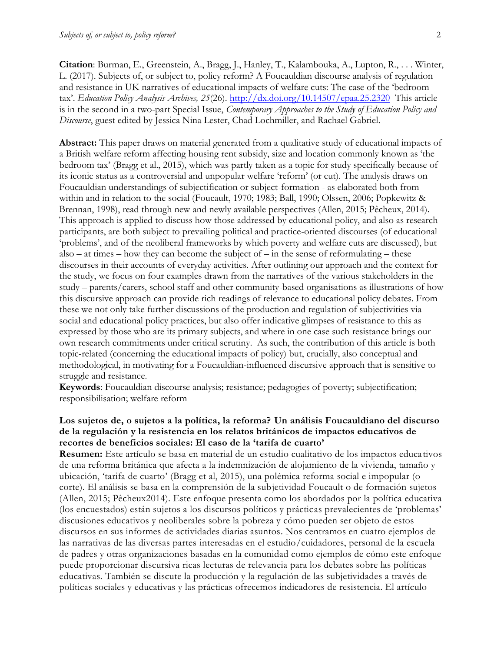**Citation**: Burman, E., Greenstein, A., Bragg, J., Hanley, T., Kalambouka, A., Lupton, R., . . . Winter, L. (2017). Subjects of, or subject to, policy reform? A Foucauldian discourse analysis of regulation and resistance in UK narratives of educational impacts of welfare cuts: The case of the 'bedroom tax'. *Education Policy Analysis Archives, 25*(26). <http://dx.doi.org/10.14507/epaa.25.2320>This article is in the second in a two-part Special Issue, *Contemporary Approaches to the Study of Education Policy and Discourse*, guest edited by Jessica Nina Lester, Chad Lochmiller, and Rachael Gabriel.

**Abstract:** This paper draws on material generated from a qualitative study of educational impacts of a British welfare reform affecting housing rent subsidy, size and location commonly known as 'the bedroom tax' (Bragg et al., 2015), which was partly taken as a topic for study specifically because of its iconic status as a controversial and unpopular welfare 'reform' (or cut). The analysis draws on Foucauldian understandings of subjectification or subject-formation - as elaborated both from within and in relation to the social (Foucault, 1970; 1983; Ball, 1990; Olssen, 2006; Popkewitz & Brennan, 1998), read through new and newly available perspectives (Allen, 2015; Pêcheux, 2014). This approach is applied to discuss how those addressed by educational policy, and also as research participants, are both subject to prevailing political and practice-oriented discourses (of educational 'problems', and of the neoliberal frameworks by which poverty and welfare cuts are discussed), but also – at times – how they can become the subject of – in the sense of reformulating – these discourses in their accounts of everyday activities. After outlining our approach and the context for the study, we focus on four examples drawn from the narratives of the various stakeholders in the study – parents/carers, school staff and other community-based organisations as illustrations of how this discursive approach can provide rich readings of relevance to educational policy debates. From these we not only take further discussions of the production and regulation of subjectivities via social and educational policy practices, but also offer indicative glimpses of resistance to this as expressed by those who are its primary subjects, and where in one case such resistance brings our own research commitments under critical scrutiny. As such, the contribution of this article is both topic-related (concerning the educational impacts of policy) but, crucially, also conceptual and methodological, in motivating for a Foucauldian-influenced discursive approach that is sensitive to struggle and resistance.

**Keywords**: Foucauldian discourse analysis; resistance; pedagogies of poverty; subjectification; responsibilisation; welfare reform

### **Los sujetos de, o sujetos a la política, la reforma? Un análisis Foucauldiano del discurso de la regulación y la resistencia en los relatos británicos de impactos educativos de recortes de beneficios sociales: El caso de la 'tarifa de cuarto'**

**Resumen:** Este artículo se basa en material de un estudio cualitativo de los impactos educa tivos de una reforma británica que afecta a la indemnización de alojamiento de la vivienda, tamaño y ubicación, 'tarifa de cuarto' (Bragg et al, 2015), una polémica reforma social e impopular (o corte). El análisis se basa en la comprensión de la subjetividad Foucault o de formación sujetos (Allen, 2015; Pêcheux2014). Este enfoque presenta como los abordados por la política educativa (los encuestados) están sujetos a los discursos políticos y prácticas prevalecientes de 'problemas' discusiones educativos y neoliberales sobre la pobreza y cómo pueden ser objeto de estos discursos en sus informes de actividades diarias asuntos. Nos centramos en cuatro ejemplos de las narrativas de las diversas partes interesadas en el estudio/cuidadores, personal de la escuela de padres y otras organizaciones basadas en la comunidad como ejemplos de cómo este enfoque puede proporcionar discursiva ricas lecturas de relevancia para los debates sobre las políticas educativas. También se discute la producción y la regulación de las subjetividades a través de políticas sociales y educativas y las prácticas ofrecemos indicadores de resistencia. El artículo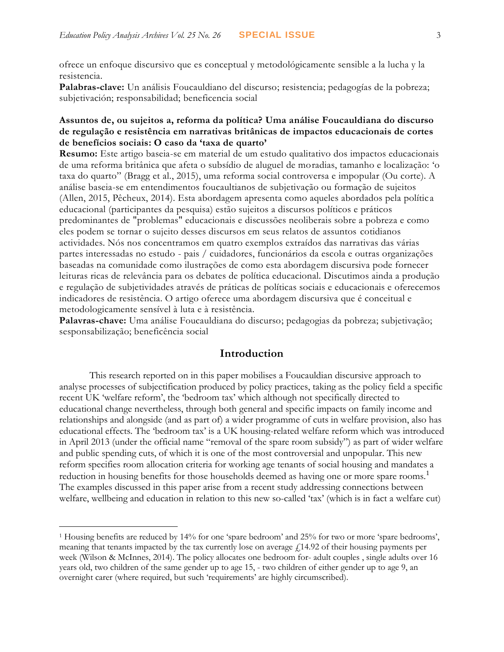ofrece un enfoque discursivo que es conceptual y metodológicamente sensible a la lucha y la resistencia.

**Palabras-clave:** Un análisis Foucauldiano del discurso; resistencia; pedagogías de la pobreza; subjetivación; responsabilidad; beneficencia social

#### **Assuntos de, ou sujeitos a, reforma da política? Uma análise Foucauldiana do discurso de regulação e resistência em narrativas britânicas de impactos educacionais de cortes de benefícios sociais: O caso da 'taxa de quarto'**

**Resumo:** Este artigo baseia-se em material de um estudo qualitativo dos impactos educacionais de uma reforma britânica que afeta o subsídio de aluguel de moradias, tamanho e localização: 'o taxa do quarto" (Bragg et al., 2015), uma reforma social controversa e impopular (Ou corte). A análise baseia-se em entendimentos foucaultianos de subjetivação ou formação de sujeitos (Allen, 2015, Pêcheux, 2014). Esta abordagem apresenta como aqueles abordados pela polític a educacional (participantes da pesquisa) estão sujeitos a discursos políticos e práticos predominantes de "problemas" educacionais e discussões neoliberais sobre a pobreza e como eles podem se tornar o sujeito desses discursos em seus relatos de assuntos cotidianos actividades. Nós nos concentramos em quatro exemplos extraídos das narrativas das várias partes interessadas no estudo - pais / cuidadores, funcionários da escola e outras organizações baseadas na comunidade como ilustrações de como esta abordagem discursiva pode fornecer leituras ricas de relevância para os debates de política educacional. Discutimos ainda a produção e regulação de subjetividades através de práticas de políticas sociais e educacionais e oferecemos indicadores de resistência. O artigo oferece uma abordagem discursiva que é conceitual e metodologicamente sensível à luta e à resistência.

**Palavras-chave:** Uma análise Foucauldiana do discurso; pedagogias da pobreza; subjetivação; sesponsabilização; beneficência social

## **Introduction**

This research reported on in this paper mobilises a Foucauldian discursive approach to analyse processes of subjectification produced by policy practices, taking as the policy field a specific recent UK 'welfare reform', the 'bedroom tax' which although not specifically directed to educational change nevertheless, through both general and specific impacts on family income and relationships and alongside (and as part of) a wider programme of cuts in welfare provision, also has educational effects. The 'bedroom tax' is a UK housing-related welfare reform which was introduced in April 2013 (under the official name "removal of the spare room subsidy") as part of wider welfare and public spending cuts, of which it is one of the most controversial and unpopular. This new reform specifies room allocation criteria for working age tenants of social housing and mandates a reduction in housing benefits for those households deemed as having one or more spare rooms.<sup>1</sup> The examples discussed in this paper arise from a recent study addressing connections between welfare, wellbeing and education in relation to this new so-called 'tax' (which is in fact a welfare cut)

 $\overline{a}$ 

<sup>1</sup> Housing benefits are reduced by 14% for one 'spare bedroom' and 25% for two or more 'spare bedrooms', meaning that tenants impacted by the tax currently lose on average  $\ell$ 14.92 of their housing payments per week (Wilson & McInnes, 2014). The policy allocates one bedroom for- adult couples , single adults over 16 years old, two children of the same gender up to age 15, - two children of either gender up to age 9, an overnight carer (where required, but such 'requirements' are highly circumscribed).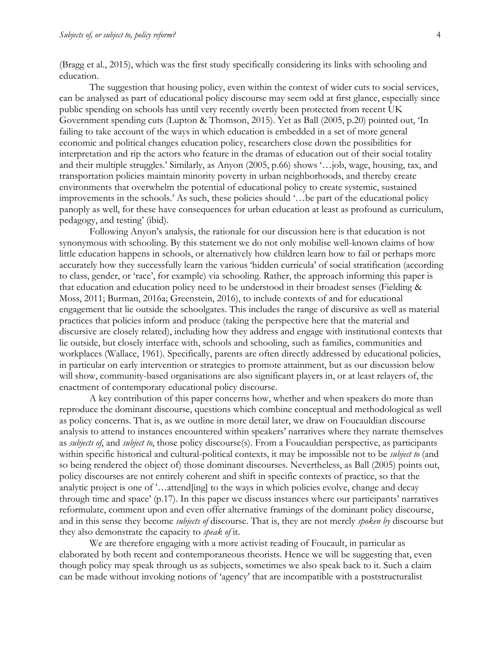(Bragg et al., 2015), which was the first study specifically considering its links with schooling and education.

The suggestion that housing policy, even within the context of wider cuts to social services, can be analysed as part of educational policy discourse may seem odd at first glance, especially since public spending on schools has until very recently overtly been protected from recent UK Government spending cuts (Lupton & Thomson, 2015). Yet as Ball (2005, p.20) pointed out, 'In failing to take account of the ways in which education is embedded in a set of more general economic and political changes education policy, researchers close down the possibilities for interpretation and rip the actors who feature in the dramas of education out of their social totality and their multiple struggles.' Similarly, as Anyon (2005, p.66) shows '…job, wage, housing, tax, and transportation policies maintain minority poverty in urban neighborhoods, and thereby create environments that overwhelm the potential of educational policy to create systemic, sustained improvements in the schools.' As such, these policies should '…be part of the educational policy panoply as well, for these have consequences for urban education at least as profound as curriculum, pedagogy, and testing' (ibid).

Following Anyon's analysis, the rationale for our discussion here is that education is not synonymous with schooling. By this statement we do not only mobilise well-known claims of how little education happens in schools, or alternatively how children learn how to fail or perhaps more accurately how they successfully learn the various 'hidden curricula' of social stratification (according to class, gender, or 'race', for example) via schooling. Rather, the approach informing this paper is that education and education policy need to be understood in their broadest senses (Fielding & Moss, 2011; Burman, 2016a; Greenstein, 2016), to include contexts of and for educational engagement that lie outside the schoolgates. This includes the range of discursive as well as material practices that policies inform and produce (taking the perspective here that the material and discursive are closely related), including how they address and engage with institutional contexts that lie outside, but closely interface with, schools and schooling, such as families, communities and workplaces (Wallace, 1961). Specifically, parents are often directly addressed by educational policies, in particular on early intervention or strategies to promote attainment, but as our discussion below will show, community-based organisations are also significant players in, or at least relayers of, the enactment of contemporary educational policy discourse.

A key contribution of this paper concerns how, whether and when speakers do more than reproduce the dominant discourse, questions which combine conceptual and methodological as well as policy concerns. That is, as we outline in more detail later, we draw on Foucauldian discourse analysis to attend to instances encountered within speakers' narratives where they narrate themselves as *subjects of*, and *subject to*, those policy discourse(s). From a Foucauldian perspective, as participants within specific historical and cultural-political contexts, it may be impossible not to be *subject to* (and so being rendered the object of) those dominant discourses. Nevertheless, as Ball (2005) points out, policy discourses are not entirely coherent and shift in specific contexts of practice, so that the analytic project is one of '…attend[ing] to the ways in which policies evolve, change and decay through time and space' (p.17). In this paper we discuss instances where our participants' narratives reformulate, comment upon and even offer alternative framings of the dominant policy discourse, and in this sense they become *subjects of* discourse. That is, they are not merely *spoken by* discourse but they also demonstrate the capacity to *speak of* it.

We are therefore engaging with a more activist reading of Foucault, in particular as elaborated by both recent and contemporaneous theorists. Hence we will be suggesting that, even though policy may speak through us as subjects, sometimes we also speak back to it. Such a claim can be made without invoking notions of 'agency' that are incompatible with a poststructuralist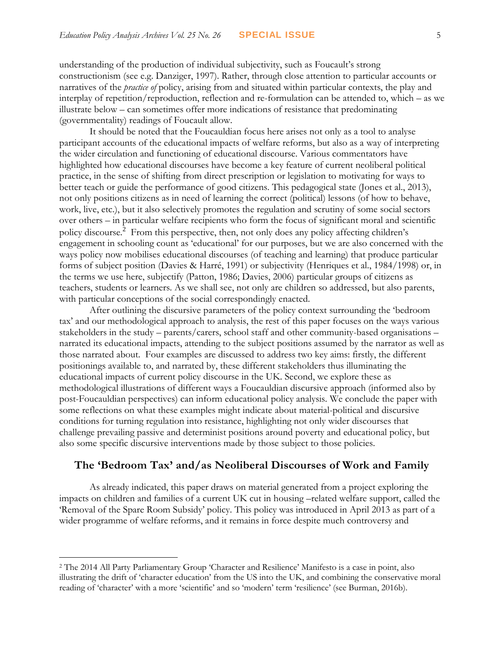understanding of the production of individual subjectivity, such as Foucault's strong constructionism (see e.g. Danziger, 1997). Rather, through close attention to particular accounts or narratives of the *practice of* policy, arising from and situated within particular contexts, the play and interplay of repetition/reproduction, reflection and re-formulation can be attended to, which – as we illustrate below – can sometimes offer more indications of resistance that predominating (governmentality) readings of Foucault allow.

It should be noted that the Foucauldian focus here arises not only as a tool to analyse participant accounts of the educational impacts of welfare reforms, but also as a way of interpreting the wider circulation and functioning of educational discourse. Various commentators have highlighted how educational discourses have become a key feature of current neoliberal political practice, in the sense of shifting from direct prescription or legislation to motivating for ways to better teach or guide the performance of good citizens. This pedagogical state (Jones et al., 2013), not only positions citizens as in need of learning the correct (political) lessons (of how to behave, work, live, etc.), but it also selectively promotes the regulation and scrutiny of some social sectors over others – in particular welfare recipients who form the focus of significant moral and scientific policy discourse.<sup>2</sup> From this perspective, then, not only does any policy affecting children's engagement in schooling count as 'educational' for our purposes, but we are also concerned with the ways policy now mobilises educational discourses (of teaching and learning) that produce particular forms of subject position (Davies & Harré, 1991) or subjectivity (Henriques et al., 1984/1998) or, in the terms we use here, subjectify (Patton, 1986; Davies, 2006) particular groups of citizens as teachers, students or learners. As we shall see, not only are children so addressed, but also parents, with particular conceptions of the social correspondingly enacted.

After outlining the discursive parameters of the policy context surrounding the 'bedroom tax' and our methodological approach to analysis, the rest of this paper focuses on the ways various stakeholders in the study – parents/carers, school staff and other community-based organisations – narrated its educational impacts, attending to the subject positions assumed by the narrator as well as those narrated about. Four examples are discussed to address two key aims: firstly, the different positionings available to, and narrated by, these different stakeholders thus illuminating the educational impacts of current policy discourse in the UK. Second, we explore these as methodological illustrations of different ways a Foucauldian discursive approach (informed also by post-Foucauldian perspectives) can inform educational policy analysis. We conclude the paper with some reflections on what these examples might indicate about material-political and discursive conditions for turning regulation into resistance, highlighting not only wider discourses that challenge prevailing passive and determinist positions around poverty and educational policy, but also some specific discursive interventions made by those subject to those policies.

#### **The 'Bedroom Tax' and/as Neoliberal Discourses of Work and Family**

As already indicated, this paper draws on material generated from a project exploring the impacts on children and families of a current UK cut in housing –related welfare support, called the 'Removal of the Spare Room Subsidy' policy. This policy was introduced in April 2013 as part of a wider programme of welfare reforms, and it remains in force despite much controversy and

 $\overline{a}$ 

<sup>2</sup> The 2014 All Party Parliamentary Group 'Character and Resilience' Manifesto is a case in point, also illustrating the drift of 'character education' from the US into the UK, and combining the conservative moral reading of 'character' with a more 'scientific' and so 'modern' term 'resilience' (see Burman, 2016b).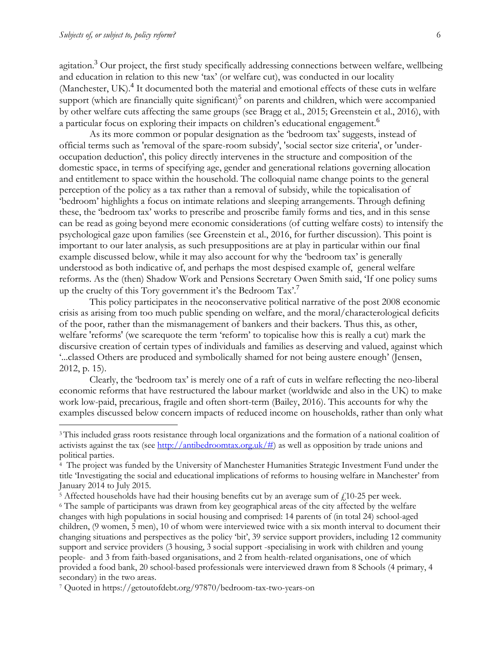$\overline{a}$ 

agitation.<sup>3</sup> Our project, the first study specifically addressing connections between welfare, wellbeing and education in relation to this new 'tax' (or welfare cut), was conducted in our locality (Manchester, UK).<sup>4</sup> It documented both the material and emotional effects of these cuts in welfare support (which are financially quite significant)<sup>5</sup> on parents and children, which were accompanied by other welfare cuts affecting the same groups (see Bragg et al., 2015; Greenstein et al., 2016), with a particular focus on exploring their impacts on children's educational engagement.<sup>6</sup>

As its more common or popular designation as the 'bedroom tax' suggests, instead of official terms such as 'removal of the spare-room subsidy', 'social sector size criteria', or 'underoccupation deduction', this policy directly intervenes in the structure and composition of the domestic space, in terms of specifying age, gender and generational relations governing allocation and entitlement to space within the household. The colloquial name change points to the general perception of the policy as a tax rather than a removal of subsidy, while the topicalisation of 'bedroom' highlights a focus on intimate relations and sleeping arrangements. Through defining these, the 'bedroom tax' works to prescribe and proscribe family forms and ties, and in this sense can be read as going beyond mere economic considerations (of cutting welfare costs) to intensify the psychological gaze upon families (see Greenstein et al., 2016, for further discussion). This point is important to our later analysis, as such presuppositions are at play in particular within our final example discussed below, while it may also account for why the 'bedroom tax' is generally understood as both indicative of, and perhaps the most despised example of, general welfare reforms. As the (then) Shadow Work and Pensions Secretary Owen Smith said, 'If one policy sums up the cruelty of this Tory government it's the Bedroom Tax'.<sup>7</sup>

This policy participates in the neoconservative political narrative of the post 2008 economic crisis as arising from too much public spending on welfare, and the moral/characterological deficits of the poor, rather than the mismanagement of bankers and their backers. Thus this, as other, welfare 'reforms' (we scarequote the term 'reform' to topicalise how this is really a cut) mark the discursive creation of certain types of individuals and families as deserving and valued, against which '...classed Others are produced and symbolically shamed for not being austere enough' (Jensen, 2012, p. 15).

Clearly, the 'bedroom tax' is merely one of a raft of cuts in welfare reflecting the neo-liberal economic reforms that have restructured the labour market (worldwide and also in the UK) to make work low-paid, precarious, fragile and often short-term (Bailey, 2016). This accounts for why the examples discussed below concern impacts of reduced income on households, rather than only what

<sup>3</sup> This included grass roots resistance through local organizations and the formation of a national coalition of activists against the tax (see [http://antibedroomtax.org.uk/#\)](http://antibedroomtax.org.uk/) as well as opposition by trade unions and political parties.

<sup>4</sup> The project was funded by the University of Manchester Humanities Strategic Investment Fund under the title 'Investigating the social and educational implications of reforms to housing welfare in Manchester' from January 2014 to July 2015.

<sup>&</sup>lt;sup>5</sup> Affected households have had their housing benefits cut by an average sum of  $f<sub>1</sub>10-25$  per week.

<sup>6</sup> The sample of participants was drawn from key geographical areas of the city affected by the welfare changes with high populations in social housing and comprised: 14 parents of (in total 24) school-aged children, (9 women, 5 men), 10 of whom were interviewed twice with a six month interval to document their changing situations and perspectives as the policy 'bit', 39 service support providers, including 12 community support and service providers (3 housing, 3 social support -specialising in work with children and young people- and 3 from faith-based organisations, and 2 from health-related organisations, one of which provided a food bank, 20 school-based professionals were interviewed drawn from 8 Schools (4 primary, 4 secondary) in the two areas.

<sup>7</sup> Quoted in https://getoutofdebt.org/97870/bedroom-tax-two-years-on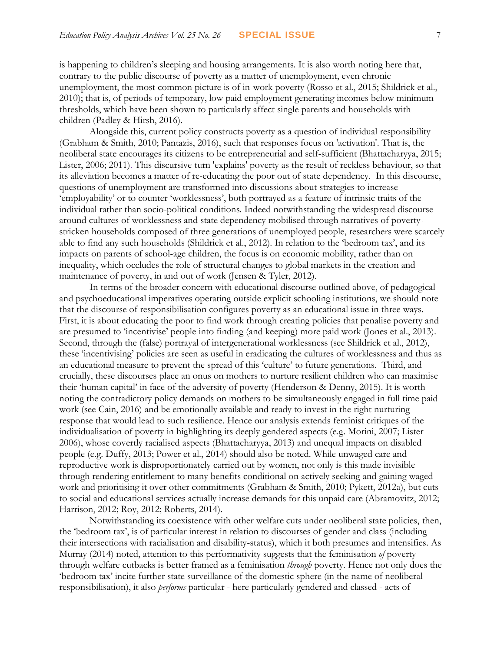is happening to children's sleeping and housing arrangements. It is also worth noting here that, contrary to the public discourse of poverty as a matter of unemployment, even chronic unemployment, the most common picture is of in-work poverty (Rosso et al., 2015; Shildrick et al., 2010); that is, of periods of temporary, low paid employment generating incomes below minimum thresholds, which have been shown to particularly affect single parents and households with children (Padley & Hirsh, 2016).

Alongside this, current policy constructs poverty as a question of individual responsibility (Grabham & Smith, 2010; Pantazis, 2016), such that responses focus on 'activation'. That is, the neoliberal state encourages its citizens to be entrepreneurial and self-sufficient (Bhattacharyya, 2015; Lister, 2006; 2011). This discursive turn 'explains' poverty as the result of reckless behaviour, so that its alleviation becomes a matter of re-educating the poor out of state dependency. In this discourse, questions of unemployment are transformed into discussions about strategies to increase 'employability' or to counter 'worklessness', both portrayed as a feature of intrinsic traits of the individual rather than socio-political conditions. Indeed notwithstanding the widespread discourse around cultures of worklessness and state dependency mobilised through narratives of povertystricken households composed of three generations of unemployed people, researchers were scarcely able to find any such households (Shildrick et al., 2012). In relation to the 'bedroom tax', and its impacts on parents of school-age children, the focus is on economic mobility, rather than on inequality, which occludes the role of structural changes to global markets in the creation and maintenance of poverty, in and out of work (Jensen & Tyler, 2012).

In terms of the broader concern with educational discourse outlined above, of pedagogical and psychoeducational imperatives operating outside explicit schooling institutions, we should note that the discourse of responsibilisation configures poverty as an educational issue in three ways. First, it is about educating the poor to find work through creating policies that penalise poverty and are presumed to 'incentivise' people into finding (and keeping) more paid work (Jones et al., 2013). Second, through the (false) portrayal of intergenerational worklessness (see Shildrick et al., 2012), these 'incentivising' policies are seen as useful in eradicating the cultures of worklessness and thus as an educational measure to prevent the spread of this 'culture' to future generations. Third, and crucially, these discourses place an onus on mothers to nurture resilient children who can maximise their 'human capital' in face of the adversity of poverty (Henderson & Denny, 2015). It is worth noting the contradictory policy demands on mothers to be simultaneously engaged in full time paid work (see Cain, 2016) and be emotionally available and ready to invest in the right nurturing response that would lead to such resilience. Hence our analysis extends feminist critiques of the individualisation of poverty in highlighting its deeply gendered aspects (e.g. Morini, 2007; Lister 2006), whose covertly racialised aspects (Bhattacharyya, 2013) and unequal impacts on disabled people (e.g. Duffy, 2013; Power et al., 2014) should also be noted. While unwaged care and reproductive work is disproportionately carried out by women, not only is this made invisible through rendering entitlement to many benefits conditional on actively seeking and gaining waged work and prioritising it over other commitments (Grabham & Smith, 2010; Pykett, 2012a), but cuts to social and educational services actually increase demands for this unpaid care (Abramovitz, 2012; Harrison, 2012; Roy, 2012; Roberts, 2014).

Notwithstanding its coexistence with other welfare cuts under neoliberal state policies, then, the 'bedroom tax', is of particular interest in relation to discourses of gender and class (including their intersections with racialisation and disability-status), which it both presumes and intensifies. As Murray (2014) noted, attention to this performativity suggests that the feminisation *of* poverty through welfare cutbacks is better framed as a feminisation *through* poverty. Hence not only does the 'bedroom tax' incite further state surveillance of the domestic sphere (in the name of neoliberal responsibilisation), it also *performs* particular - here particularly gendered and classed - acts of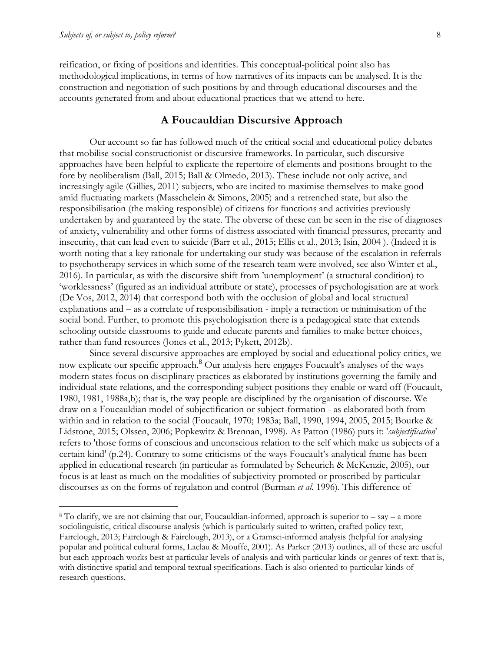$\overline{a}$ 

reification, or fixing of positions and identities. This conceptual-political point also has methodological implications, in terms of how narratives of its impacts can be analysed. It is the construction and negotiation of such positions by and through educational discourses and the accounts generated from and about educational practices that we attend to here.

#### **A Foucauldian Discursive Approach**

Our account so far has followed much of the critical social and educational policy debates that mobilise social constructionist or discursive frameworks. In particular, such discursive approaches have been helpful to explicate the repertoire of elements and positions brought to the fore by neoliberalism (Ball, 2015; Ball & Olmedo, 2013). These include not only active, and increasingly agile (Gillies, 2011) subjects, who are incited to maximise themselves to make good amid fluctuating markets (Masschelein & Simons, 2005) and a retrenched state, but also the responsibilisation (the making responsible) of citizens for functions and activities previously undertaken by and guaranteed by the state. The obverse of these can be seen in the rise of diagnoses of anxiety, vulnerability and other forms of distress associated with financial pressures, precarity and insecurity, that can lead even to suicide (Barr et al., 2015; Ellis et al., 2013; Isin, 2004 ). (Indeed it is worth noting that a key rationale for undertaking our study was because of the escalation in referrals to psychotherapy services in which some of the research team were involved, see also Winter et al., 2016). In particular, as with the discursive shift from 'unemployment' (a structural condition) to 'worklessness' (figured as an individual attribute or state), processes of psychologisation are at work (De Vos, 2012, 2014) that correspond both with the occlusion of global and local structural explanations and – as a correlate of responsibilisation - imply a retraction or minimisation of the social bond. Further, to promote this psychologisation there is a pedagogical state that extends schooling outside classrooms to guide and educate parents and families to make better choices, rather than fund resources (Jones et al., 2013; Pykett, 2012b).

Since several discursive approaches are employed by social and educational policy critics, we now explicate our specific approach.<sup>8</sup> Our analysis here engages Foucault's analyses of the ways modern states focus on disciplinary practices as elaborated by institutions governing the family and individual-state relations, and the corresponding subject positions they enable or ward off (Foucault, 1980, 1981, 1988a,b); that is, the way people are disciplined by the organisation of discourse. We draw on a Foucauldian model of subjectification or subject-formation - as elaborated both from within and in relation to the social (Foucault, 1970; 1983a; Ball, 1990, 1994, 2005, 2015; Bourke & Lidstone, 2015; Olssen, 2006; Popkewitz & Brennan, 1998). As Patton (1986) puts it: '*subjectification*' refers to 'those forms of conscious and unconscious relation to the self which make us subjects of a certain kind' (p.24). Contrary to some criticisms of the ways Foucault's analytical frame has been applied in educational research (in particular as formulated by Scheurich & McKenzie, 2005), our focus is at least as much on the modalities of subjectivity promoted or proscribed by particular discourses as on the forms of regulation and control (Burman *et al.* 1996). This difference of

 $8$  To clarify, we are not claiming that our, Foucauldian-informed, approach is superior to – say – a more sociolinguistic, critical discourse analysis (which is particularly suited to written, crafted policy text, Fairclough, 2013; Fairclough & Fairclough, 2013), or a Gramsci-informed analysis (helpful for analysing popular and political cultural forms, Laclau & Mouffe, 2001). As Parker (2013) outlines, all of these are useful but each approach works best at particular levels of analysis and with particular kinds or genres of text: that is, with distinctive spatial and temporal textual specifications. Each is also oriented to particular kinds of research questions.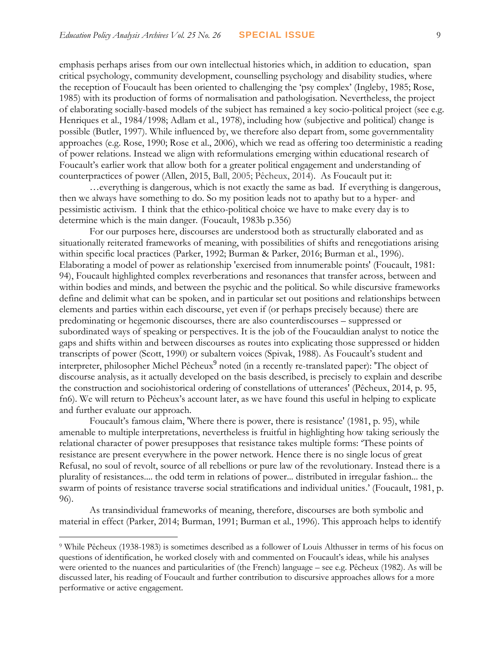emphasis perhaps arises from our own intellectual histories which, in addition to education, span critical psychology, community development, counselling psychology and disability studies, where the reception of Foucault has been oriented to challenging the 'psy complex' (Ingleby, 1985; Rose, 1985) with its production of forms of normalisation and pathologisation. Nevertheless, the project of elaborating socially-based models of the subject has remained a key socio-political project (see e.g. Henriques et al., 1984/1998; Adlam et al., 1978), including how (subjective and political) change is possible (Butler, 1997). While influenced by, we therefore also depart from, some governmentality approaches (e.g. Rose, 1990; Rose et al., 2006), which we read as offering too deterministic a reading of power relations. Instead we align with reformulations emerging within educational research of Foucault's earlier work that allow both for a greater political engagement and understanding of counterpractices of power (Allen, 2015, Ball, 2005; Pêcheux, 2014). As Foucault put it:

*…*everything is dangerous, which is not exactly the same as bad. If everything is dangerous, then we always have something to do. So my position leads not to apathy but to a hyper- and pessimistic activism. I think that the ethico-political choice we have to make every day is to determine which is the main danger*.* (Foucault, 1983b p.356)

For our purposes here, discourses are understood both as structurally elaborated and as situationally reiterated frameworks of meaning, with possibilities of shifts and renegotiations arising within specific local practices (Parker, 1992; Burman & Parker, 2016; Burman et al., 1996). Elaborating a model of power as relationship 'exercised from innumerable points' (Foucault, 1981: 94), Foucault highlighted complex reverberations and resonances that transfer across, between and within bodies and minds, and between the psychic and the political. So while discursive frameworks define and delimit what can be spoken, and in particular set out positions and relationships between elements and parties within each discourse, yet even if (or perhaps precisely because) there are predominating or hegemonic discourses, there are also counterdiscourses – suppressed or subordinated ways of speaking or perspectives. It is the job of the Foucauldian analyst to notice the gaps and shifts within and between discourses as routes into explicating those suppressed or hidden transcripts of power (Scott, 1990) or subaltern voices (Spivak, 1988). As Foucault's student and interpreter, philosopher Michel Pêcheux<sup>9</sup> noted (in a recently re-translated paper): 'The object of discourse analysis, as it actually developed on the basis described, is precisely to explain and describe the construction and sociohistorical ordering of constellations of utterances' (Pêcheux, 2014, p. 95, fn6). We will return to Pêcheux's account later, as we have found this useful in helping to explicate and further evaluate our approach.

Foucault's famous claim, 'Where there is power, there is resistance' (1981, p. 95), while amenable to multiple interpretations, nevertheless is fruitful in highlighting how taking seriously the relational character of power presupposes that resistance takes multiple forms: 'These points of resistance are present everywhere in the power network. Hence there is no single locus of great Refusal, no soul of revolt, source of all rebellions or pure law of the revolutionary. Instead there is a plurality of resistances.... the odd term in relations of power... distributed in irregular fashion... the swarm of points of resistance traverse social stratifications and individual unities.' (Foucault, 1981, p. 96).

As transindividual frameworks of meaning, therefore, discourses are both symbolic and material in effect (Parker, 2014; Burman, 1991; Burman et al., 1996). This approach helps to identify

 $\overline{a}$ 

<sup>9</sup> While Pêcheux (1938-1983) is sometimes described as a follower of Louis Althusser in terms of his focus on questions of identification, he worked closely with and commented on Foucault's ideas, while his analyses were oriented to the nuances and particularities of (the French) language – see e.g. Pêcheux (1982). As will be discussed later, his reading of Foucault and further contribution to discursive approaches allows for a more performative or active engagement.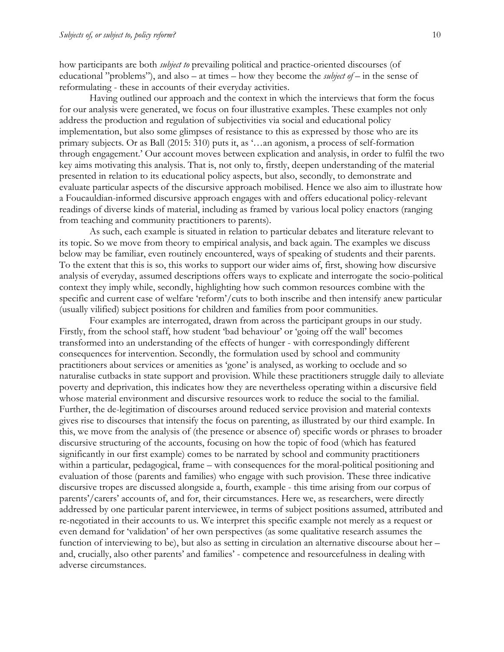how participants are both *subject to* prevailing political and practice-oriented discourses (of educational "problems"), and also – at times – how they become the *subject of* – in the sense of reformulating - these in accounts of their everyday activities.

Having outlined our approach and the context in which the interviews that form the focus for our analysis were generated, we focus on four illustrative examples. These examples not only address the production and regulation of subjectivities via social and educational policy implementation, but also some glimpses of resistance to this as expressed by those who are its primary subjects. Or as Ball (2015: 310) puts it, as '…an agonism, a process of self-formation through engagement.' Our account moves between explication and analysis, in order to fulfil the two key aims motivating this analysis. That is, not only to, firstly, deepen understanding of the material presented in relation to its educational policy aspects, but also, secondly, to demonstrate and evaluate particular aspects of the discursive approach mobilised. Hence we also aim to illustrate how a Foucauldian-informed discursive approach engages with and offers educational policy-relevant readings of diverse kinds of material, including as framed by various local policy enactors (ranging from teaching and community practitioners to parents).

As such, each example is situated in relation to particular debates and literature relevant to its topic. So we move from theory to empirical analysis, and back again. The examples we discuss below may be familiar, even routinely encountered, ways of speaking of students and their parents. To the extent that this is so, this works to support our wider aims of, first, showing how discursive analysis of everyday, assumed descriptions offers ways to explicate and interrogate the socio-political context they imply while, secondly, highlighting how such common resources combine with the specific and current case of welfare 'reform'/cuts to both inscribe and then intensify anew particular (usually vilified) subject positions for children and families from poor communities.

Four examples are interrogated, drawn from across the participant groups in our study. Firstly, from the school staff, how student 'bad behaviour' or 'going off the wall' becomes transformed into an understanding of the effects of hunger - with correspondingly different consequences for intervention. Secondly, the formulation used by school and community practitioners about services or amenities as 'gone' is analysed, as working to occlude and so naturalise cutbacks in state support and provision. While these practitioners struggle daily to alleviate poverty and deprivation, this indicates how they are nevertheless operating within a discursive field whose material environment and discursive resources work to reduce the social to the familial. Further, the de-legitimation of discourses around reduced service provision and material contexts gives rise to discourses that intensify the focus on parenting, as illustrated by our third example. In this, we move from the analysis of (the presence or absence of) specific words or phrases to broader discursive structuring of the accounts, focusing on how the topic of food (which has featured significantly in our first example) comes to be narrated by school and community practitioners within a particular, pedagogical, frame – with consequences for the moral-political positioning and evaluation of those (parents and families) who engage with such provision. These three indicative discursive tropes are discussed alongside a, fourth, example - this time arising from our corpus of parents'/carers' accounts of, and for, their circumstances. Here we, as researchers, were directly addressed by one particular parent interviewee, in terms of subject positions assumed, attributed and re-negotiated in their accounts to us. We interpret this specific example not merely as a request or even demand for 'validation' of her own perspectives (as some qualitative research assumes the function of interviewing to be), but also as setting in circulation an alternative discourse about her – and, crucially, also other parents' and families' - competence and resourcefulness in dealing with adverse circumstances.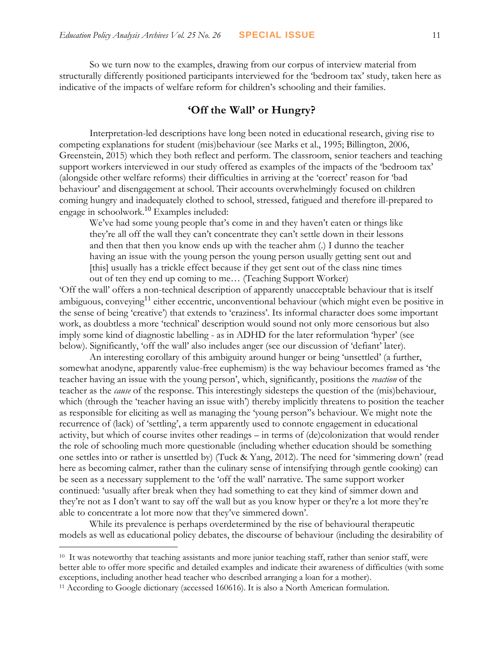So we turn now to the examples, drawing from our corpus of interview material from structurally differently positioned participants interviewed for the 'bedroom tax' study, taken here as indicative of the impacts of welfare reform for children's schooling and their families.

## **'Off the Wall' or Hungry?**

Interpretation-led descriptions have long been noted in educational research, giving rise to competing explanations for student (mis)behaviour (see Marks et al., 1995; Billington, 2006, Greenstein, 2015) which they both reflect and perform. The classroom, senior teachers and teaching support workers interviewed in our study offered as examples of the impacts of the 'bedroom tax' (alongside other welfare reforms) their difficulties in arriving at the 'correct' reason for 'bad behaviour' and disengagement at school. Their accounts overwhelmingly focused on children coming hungry and inadequately clothed to school, stressed, fatigued and therefore ill-prepared to engage in schoolwork. <sup>10</sup> Examples included:

We've had some young people that's come in and they haven't eaten or things like they're all off the wall they can't concentrate they can't settle down in their lessons and then that then you know ends up with the teacher ahm (.) I dunno the teacher having an issue with the young person the young person usually getting sent out and [this] usually has a trickle effect because if they get sent out of the class nine times out of ten they end up coming to me… (Teaching Support Worker)

'Off the wall' offers a non-technical description of apparently unacceptable behaviour that is itself ambiguous, conveying $11$  either eccentric, unconventional behaviour (which might even be positive in the sense of being 'creative') that extends to 'craziness'. Its informal character does some important work, as doubtless a more 'technical' description would sound not only more censorious but also imply some kind of diagnostic labelling - as in ADHD for the later reformulation 'hyper' (see below). Significantly, 'off the wall' also includes anger (see our discussion of 'defiant' later).

An interesting corollary of this ambiguity around hunger or being 'unsettled' (a further, somewhat anodyne, apparently value-free euphemism) is the way behaviour becomes framed as 'the teacher having an issue with the young person', which, significantly, positions the *reaction* of the teacher as the *cause* of the response. This interestingly sidesteps the question of the (mis)behaviour, which (through the 'teacher having an issue with') thereby implicitly threatens to position the teacher as responsible for eliciting as well as managing the 'young person''s behaviour. We might note the recurrence of (lack) of 'settling', a term apparently used to connote engagement in educational activity, but which of course invites other readings – in terms of (de)colonization that would render the role of schooling much more questionable (including whether education should be something one settles into or rather is unsettled by) (Tuck & Yang, 2012). The need for 'simmering down' (read here as becoming calmer, rather than the culinary sense of intensifying through gentle cooking) can be seen as a necessary supplement to the 'off the wall' narrative. The same support worker continued: 'usually after break when they had something to eat they kind of simmer down and they're not as I don't want to say off the wall but as you know hyper or they're a lot more they're able to concentrate a lot more now that they've simmered down'.

While its prevalence is perhaps overdetermined by the rise of behavioural therapeutic models as well as educational policy debates, the discourse of behaviour (including the desirability of

 $\overline{a}$ 

<sup>&</sup>lt;sup>10</sup> It was noteworthy that teaching assistants and more junior teaching staff, rather than senior staff, were better able to offer more specific and detailed examples and indicate their awareness of difficulties (with some exceptions, including another head teacher who described arranging a loan for a mother).

<sup>11</sup> According to Google dictionary (accessed 160616). It is also a North American formulation.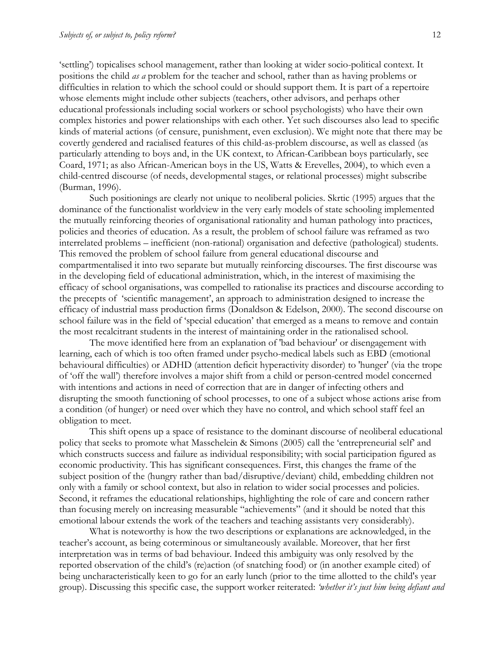'settling') topicalises school management, rather than looking at wider socio-political context. It positions the child *as a* problem for the teacher and school, rather than as having problems or difficulties in relation to which the school could or should support them. It is part of a repertoire whose elements might include other subjects (teachers, other advisors, and perhaps other educational professionals including social workers or school psychologists) who have their own complex histories and power relationships with each other. Yet such discourses also lead to specific kinds of material actions (of censure, punishment, even exclusion). We might note that there may be covertly gendered and racialised features of this child-as-problem discourse, as well as classed (as particularly attending to boys and, in the UK context, to African-Caribbean boys particularly, see Coard, 1971; as also African-American boys in the US, Watts & Erevelles, 2004), to which even a child-centred discourse (of needs, developmental stages, or relational processes) might subscribe (Burman, 1996).

Such positionings are clearly not unique to neoliberal policies. Skrtic (1995) argues that the dominance of the functionalist worldview in the very early models of state schooling implemented the mutually reinforcing theories of organisational rationality and human pathology into practices, policies and theories of education. As a result, the problem of school failure was reframed as two interrelated problems – inefficient (non-rational) organisation and defective (pathological) students. This removed the problem of school failure from general educational discourse and compartmentalised it into two separate but mutually reinforcing discourses. The first discourse was in the developing field of educational administration, which, in the interest of maximising the efficacy of school organisations, was compelled to rationalise its practices and discourse according to the precepts of 'scientific management', an approach to administration designed to increase the efficacy of industrial mass production firms (Donaldson & Edelson, 2000). The second discourse on school failure was in the field of 'special education' that emerged as a means to remove and contain the most recalcitrant students in the interest of maintaining order in the rationalised school.

The move identified here from an explanation of 'bad behaviour' or disengagement with learning, each of which is too often framed under psycho-medical labels such as EBD (emotional behavioural difficulties) or ADHD (attention deficit hyperactivity disorder) to 'hunger' (via the trope of 'off the wall') therefore involves a major shift from a child or person-centred model concerned with intentions and actions in need of correction that are in danger of infecting others and disrupting the smooth functioning of school processes, to one of a subject whose actions arise from a condition (of hunger) or need over which they have no control, and which school staff feel an obligation to meet.

This shift opens up a space of resistance to the dominant discourse of neoliberal educational policy that seeks to promote what Masschelein & Simons (2005) call the 'entrepreneurial self' and which constructs success and failure as individual responsibility; with social participation figured as economic productivity. This has significant consequences. First, this changes the frame of the subject position of the (hungry rather than bad/disruptive/deviant) child, embedding children not only with a family or school context, but also in relation to wider social processes and policies. Second, it reframes the educational relationships, highlighting the role of care and concern rather than focusing merely on increasing measurable "achievements" (and it should be noted that this emotional labour extends the work of the teachers and teaching assistants very considerably).

What is noteworthy is how the two descriptions or explanations are acknowledged, in the teacher's account, as being coterminous or simultaneously available. Moreover, that her first interpretation was in terms of bad behaviour. Indeed this ambiguity was only resolved by the reported observation of the child's (re)action (of snatching food) or (in another example cited) of being uncharacteristically keen to go for an early lunch (prior to the time allotted to the child's year group). Discussing this specific case, the support worker reiterated: *'whether it's just him being defiant and*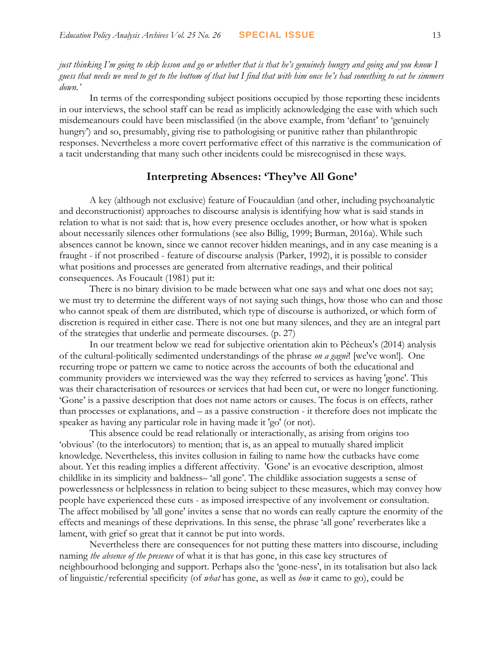*just thinking I'm going to skip lesson and go or whether that is that he's genuinely hungry and going and you know I guess that needs we need to get to the bottom of that but I find that with him once he's had something to eat he simmers down.'*

In terms of the corresponding subject positions occupied by those reporting these incidents in our interviews, the school staff can be read as implicitly acknowledging the ease with which such misdemeanours could have been misclassified (in the above example, from 'defiant' to 'genuinely hungry') and so, presumably, giving rise to pathologising or punitive rather than philanthropic responses. Nevertheless a more covert performative effect of this narrative is the communication of a tacit understanding that many such other incidents could be misrecognised in these ways.

## **Interpreting Absences: 'They've All Gone'**

A key (although not exclusive) feature of Foucauldian (and other, including psychoanalytic and deconstructionist) approaches to discourse analysis is identifying how what is said stands in relation to what is not said: that is, how every presence occludes another, or how what is spoken about necessarily silences other formulations (see also Billig, 1999; Burman, 2016a). While such absences cannot be known, since we cannot recover hidden meanings, and in any case meaning is a fraught - if not proscribed - feature of discourse analysis (Parker, 1992), it is possible to consider what positions and processes are generated from alternative readings, and their political consequences. As Foucault (1981) put it:

There is no binary division to be made between what one says and what one does not say; we must try to determine the different ways of not saying such things, how those who can and those who cannot speak of them are distributed, which type of discourse is authorized, or which form of discretion is required in either case. There is not one but many silences, and they are an integral part of the strategies that underlie and permeate discourses. (p. 27)

In our treatment below we read for subjective orientation akin to Pêcheux's (2014) analysis of the cultural-politically sedimented understandings of the phrase *on a gagnè*! [we've won!]. One recurring trope or pattern we came to notice across the accounts of both the educational and community providers we interviewed was the way they referred to services as having 'gone'. This was their characterisation of resources or services that had been cut, or were no longer functioning. 'Gone' is a passive description that does not name actors or causes. The focus is on effects, rather than processes or explanations, and – as a passive construction - it therefore does not implicate the speaker as having any particular role in having made it 'go' (or not).

This absence could be read relationally or interactionally, as arising from origins too 'obvious' (to the interlocutors) to mention; that is, as an appeal to mutually shared implicit knowledge. Nevertheless, this invites collusion in failing to name how the cutbacks have come about. Yet this reading implies a different affectivity. 'Gone' is an evocative description, almost childlike in its simplicity and baldness– 'all gone'. The childlike association suggests a sense of powerlessness or helplessness in relation to being subject to these measures, which may convey how people have experienced these cuts - as imposed irrespective of any involvement or consultation. The affect mobilised by 'all gone' invites a sense that no words can really capture the enormity of the effects and meanings of these deprivations. In this sense, the phrase 'all gone' reverberates like a lament, with grief so great that it cannot be put into words.

Nevertheless there are consequences for not putting these matters into discourse, including naming *the absence of the presence* of what it is that has gone, in this case key structures of neighbourhood belonging and support. Perhaps also the 'gone-ness', in its totalisation but also lack of linguistic/referential specificity (of *what* has gone, as well as *how* it came to go), could be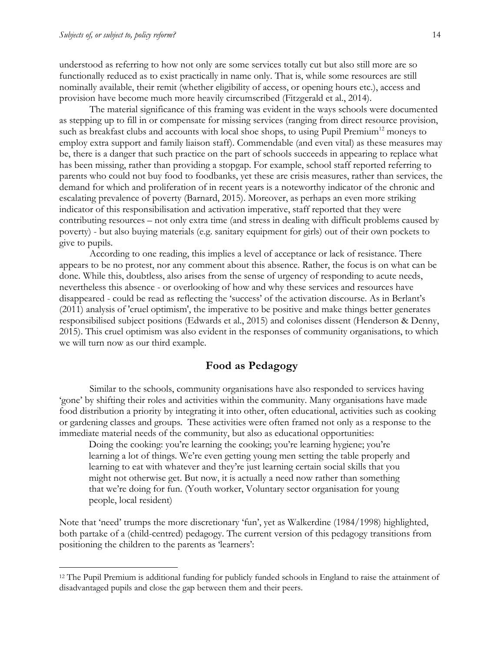$\overline{a}$ 

understood as referring to how not only are some services totally cut but also still more are so functionally reduced as to exist practically in name only. That is, while some resources are still nominally available, their remit (whether eligibility of access, or opening hours etc.), access and provision have become much more heavily circumscribed (Fitzgerald et al., 2014).

The material significance of this framing was evident in the ways schools were documented as stepping up to fill in or compensate for missing services (ranging from direct resource provision, such as breakfast clubs and accounts with local shoe shops, to using Pupil Premium<sup>12</sup> moneys to employ extra support and family liaison staff). Commendable (and even vital) as these measures may be, there is a danger that such practice on the part of schools succeeds in appearing to replace what has been missing, rather than providing a stopgap. For example, school staff reported referring to parents who could not buy food to foodbanks, yet these are crisis measures, rather than services, the demand for which and proliferation of in recent years is a noteworthy indicator of the chronic and escalating prevalence of poverty (Barnard, 2015). Moreover, as perhaps an even more striking indicator of this responsibilisation and activation imperative, staff reported that they were contributing resources – not only extra time (and stress in dealing with difficult problems caused by poverty) - but also buying materials (e.g. sanitary equipment for girls) out of their own pockets to give to pupils.

According to one reading, this implies a level of acceptance or lack of resistance. There appears to be no protest, nor any comment about this absence. Rather, the focus is on what can be done. While this, doubtless, also arises from the sense of urgency of responding to acute needs, nevertheless this absence - or overlooking of how and why these services and resources have disappeared - could be read as reflecting the 'success' of the activation discourse. As in Berlant's (2011) analysis of 'cruel optimism', the imperative to be positive and make things better generates responsibilised subject positions (Edwards et al., 2015) and colonises dissent (Henderson & Denny, 2015). This cruel optimism was also evident in the responses of community organisations, to which we will turn now as our third example.

### **Food as Pedagogy**

Similar to the schools, community organisations have also responded to services having 'gone' by shifting their roles and activities within the community. Many organisations have made food distribution a priority by integrating it into other, often educational, activities such as cooking or gardening classes and groups. These activities were often framed not only as a response to the immediate material needs of the community, but also as educational opportunities:

Doing the cooking: you're learning the cooking; you're learning hygiene; you're learning a lot of things. We're even getting young men setting the table properly and learning to eat with whatever and they're just learning certain social skills that you might not otherwise get. But now, it is actually a need now rather than something that we're doing for fun. (Youth worker, Voluntary sector organisation for young people, local resident)

Note that 'need' trumps the more discretionary 'fun', yet as Walkerdine (1984/1998) highlighted, both partake of a (child-centred) pedagogy. The current version of this pedagogy transitions from positioning the children to the parents as 'learners':

<sup>12</sup> The Pupil Premium is additional funding for publicly funded schools in England to raise the attainment of disadvantaged pupils and close the gap between them and their peers.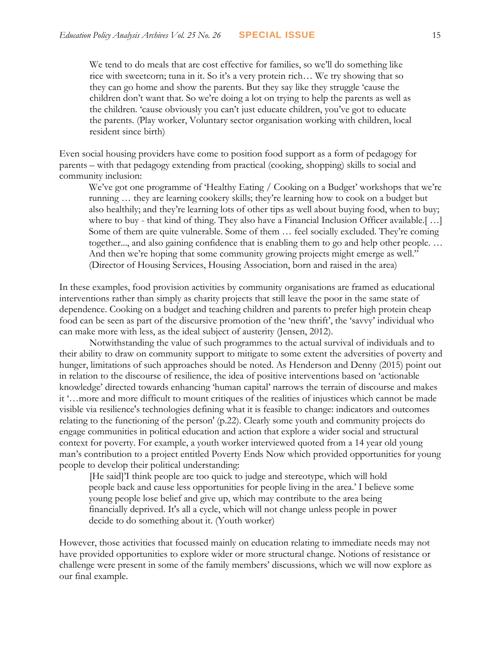We tend to do meals that are cost effective for families, so we'll do something like rice with sweetcorn; tuna in it. So it's a very protein rich… We try showing that so they can go home and show the parents. But they say like they struggle 'cause the children don't want that. So we're doing a lot on trying to help the parents as well as the children. 'cause obviously you can't just educate children, you've got to educate the parents. (Play worker, Voluntary sector organisation working with children, local resident since birth)

Even social housing providers have come to position food support as a form of pedagogy for parents – with that pedagogy extending from practical (cooking, shopping) skills to social and community inclusion:

We've got one programme of 'Healthy Eating / Cooking on a Budget' workshops that we're running … they are learning cookery skills; they're learning how to cook on a budget but also healthily; and they're learning lots of other tips as well about buying food, when to buy; where to buy - that kind of thing. They also have a Financial Inclusion Officer available.[ …] Some of them are quite vulnerable. Some of them … feel socially excluded. They're coming together..., and also gaining confidence that is enabling them to go and help other people. … And then we're hoping that some community growing projects might emerge as well." (Director of Housing Services, Housing Association, born and raised in the area)

In these examples, food provision activities by community organisations are framed as educational interventions rather than simply as charity projects that still leave the poor in the same state of dependence. Cooking on a budget and teaching children and parents to prefer high protein cheap food can be seen as part of the discursive promotion of the 'new thrift', the 'savvy' individual who can make more with less, as the ideal subject of austerity (Jensen, 2012).

Notwithstanding the value of such programmes to the actual survival of individuals and to their ability to draw on community support to mitigate to some extent the adversities of poverty and hunger, limitations of such approaches should be noted. As Henderson and Denny (2015) point out in relation to the discourse of resilience, the idea of positive interventions based on 'actionable knowledge' directed towards enhancing 'human capital' narrows the terrain of discourse and makes it '…more and more difficult to mount critiques of the realities of injustices which cannot be made visible via resilience's technologies defining what it is feasible to change: indicators and outcomes relating to the functioning of the person' (p.22). Clearly some youth and community projects do engage communities in political education and action that explore a wider social and structural context for poverty. For example, a youth worker interviewed quoted from a 14 year old young man's contribution to a project entitled Poverty Ends Now which provided opportunities for young people to develop their political understanding:

[He said]'I think people are too quick to judge and stereotype, which will hold people back and cause less opportunities for people living in the area.' I believe some young people lose belief and give up, which may contribute to the area being financially deprived. It's all a cycle, which will not change unless people in power decide to do something about it. (Youth worker)

However, those activities that focussed mainly on education relating to immediate needs may not have provided opportunities to explore wider or more structural change. Notions of resistance or challenge were present in some of the family members' discussions, which we will now explore as our final example.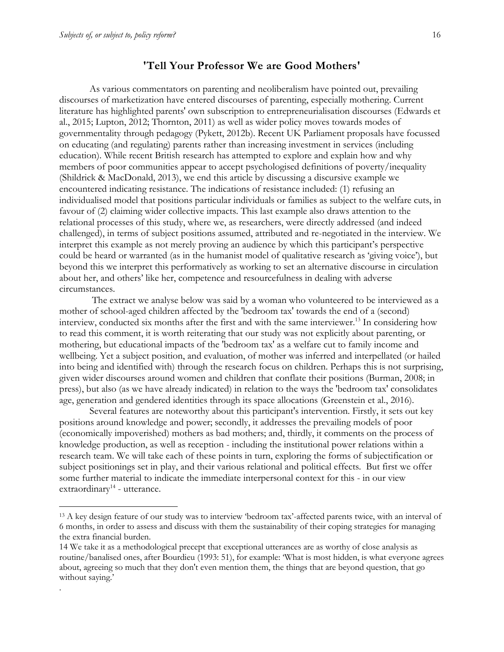$\overline{a}$ 

.

### **'Tell Your Professor We are Good Mothers'**

As various commentators on parenting and neoliberalism have pointed out, prevailing discourses of marketization have entered discourses of parenting, especially mothering. Current literature has highlighted parents' own subscription to entrepreneurialisation discourses (Edwards et al., 2015; Lupton, 2012; Thornton, 2011) as well as wider policy moves towards modes of governmentality through pedagogy (Pykett, 2012b). Recent UK Parliament proposals have focussed on educating (and regulating) parents rather than increasing investment in services (including education). While recent British research has attempted to explore and explain how and why members of poor communities appear to accept psychologised definitions of poverty/inequality (Shildrick & MacDonald, 2013), we end this article by discussing a discursive example we encountered indicating resistance. The indications of resistance included: (1) refusing an individualised model that positions particular individuals or families as subject to the welfare cuts, in favour of (2) claiming wider collective impacts. This last example also draws attention to the relational processes of this study, where we, as researchers, were directly addressed (and indeed challenged), in terms of subject positions assumed, attributed and re-negotiated in the interview. We interpret this example as not merely proving an audience by which this participant's perspective could be heard or warranted (as in the humanist model of qualitative research as 'giving voice'), but beyond this we interpret this performatively as working to set an alternative discourse in circulation about her, and others' like her, competence and resourcefulness in dealing with adverse circumstances.

The extract we analyse below was said by a woman who volunteered to be interviewed as a mother of school-aged children affected by the 'bedroom tax' towards the end of a (second) interview, conducted six months after the first and with the same interviewer.<sup>13</sup> In considering how to read this comment, it is worth reiterating that our study was not explicitly about parenting, or mothering, but educational impacts of the 'bedroom tax' as a welfare cut to family income and wellbeing. Yet a subject position, and evaluation, of mother was inferred and interpellated (or hailed into being and identified with) through the research focus on children. Perhaps this is not surprising, given wider discourses around women and children that conflate their positions (Burman, 2008; in press), but also (as we have already indicated) in relation to the ways the 'bedroom tax' consolidates age, generation and gendered identities through its space allocations (Greenstein et al., 2016).

Several features are noteworthy about this participant's intervention. Firstly, it sets out key positions around knowledge and power; secondly, it addresses the prevailing models of poor (economically impoverished) mothers as bad mothers; and, thirdly, it comments on the process of knowledge production, as well as reception - including the institutional power relations within a research team. We will take each of these points in turn, exploring the forms of subjectification or subject positionings set in play, and their various relational and political effects. But first we offer some further material to indicate the immediate interpersonal context for this - in our view extraordinary<sup>14</sup> - utterance.

<sup>&</sup>lt;sup>13</sup> A key design feature of our study was to interview 'bedroom tax'-affected parents twice, with an interval of 6 months, in order to assess and discuss with them the sustainability of their coping strategies for managing the extra financial burden.

<sup>14</sup> We take it as a methodological precept that exceptional utterances are as worthy of close analysis as routine/banalised ones, after Bourdieu (1993: 51), for example: 'What is most hidden, is what everyone agrees about, agreeing so much that they don't even mention them, the things that are beyond question, that go without saying.'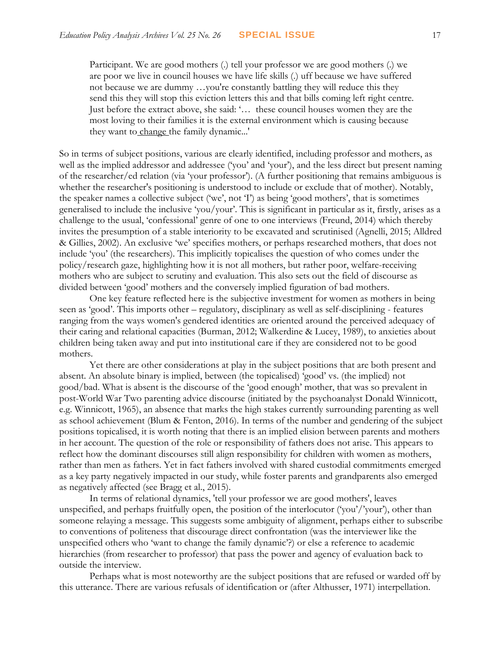Participant. We are good mothers (.) tell your professor we are good mothers (.) we are poor we live in council houses we have life skills (.) uff because we have suffered not because we are dummy …you're constantly battling they will reduce this they send this they will stop this eviction letters this and that bills coming left right centre. Just before the extract above, she said: '… these council houses women they are the most loving to their families it is the external environment which is causing because they want to change the family dynamic...'

So in terms of subject positions, various are clearly identified, including professor and mothers, as well as the implied addressor and addressee ('you' and 'your'), and the less direct but present naming of the researcher/ed relation (via 'your professor'). (A further positioning that remains ambiguous is whether the researcher's positioning is understood to include or exclude that of mother). Notably, the speaker names a collective subject ('we', not 'I') as being 'good mothers', that is sometimes generalised to include the inclusive 'you/your'. This is significant in particular as it, firstly, arises as a challenge to the usual, 'confessional' genre of one to one interviews (Freund, 2014) which thereby invites the presumption of a stable interiority to be excavated and scrutinised (Agnelli, 2015; Alldred & Gillies, 2002). An exclusive 'we' specifies mothers, or perhaps researched mothers, that does not include 'you' (the researchers). This implicitly topicalises the question of who comes under the policy/research gaze, highlighting how it is not all mothers, but rather poor, welfare-receiving mothers who are subject to scrutiny and evaluation. This also sets out the field of discourse as divided between 'good' mothers and the conversely implied figuration of bad mothers.

One key feature reflected here is the subjective investment for women as mothers in being seen as 'good'. This imports other – regulatory, disciplinary as well as self-disciplining - features ranging from the ways women's gendered identities are oriented around the perceived adequacy of their caring and relational capacities (Burman, 2012; Walkerdine & Lucey, 1989), to anxieties about children being taken away and put into institutional care if they are considered not to be good mothers.

Yet there are other considerations at play in the subject positions that are both present and absent. An absolute binary is implied, between (the topicalised) 'good' vs. (the implied) not good/bad. What is absent is the discourse of the 'good enough' mother, that was so prevalent in post-World War Two parenting advice discourse (initiated by the psychoanalyst Donald Winnicott, e.g. Winnicott, 1965), an absence that marks the high stakes currently surrounding parenting as well as school achievement (Blum & Fenton, 2016). In terms of the number and gendering of the subject positions topicalised, it is worth noting that there is an implied elision between parents and mothers in her account. The question of the role or responsibility of fathers does not arise. This appears to reflect how the dominant discourses still align responsibility for children with women as mothers, rather than men as fathers. Yet in fact fathers involved with shared custodial commitments emerged as a key party negatively impacted in our study, while foster parents and grandparents also emerged as negatively affected (see Bragg et al., 2015).

In terms of relational dynamics, 'tell your professor we are good mothers', leaves unspecified, and perhaps fruitfully open, the position of the interlocutor ('you'/'your'), other than someone relaying a message. This suggests some ambiguity of alignment, perhaps either to subscribe to conventions of politeness that discourage direct confrontation (was the interviewer like the unspecified others who 'want to change the family dynamic'?) or else a reference to academic hierarchies (from researcher to professor) that pass the power and agency of evaluation back to outside the interview.

Perhaps what is most noteworthy are the subject positions that are refused or warded off by this utterance. There are various refusals of identification or (after Althusser, 1971) interpellation.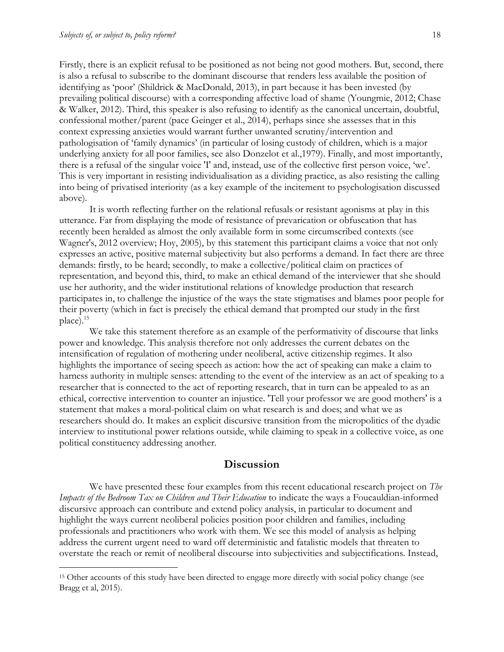$\overline{a}$ 

Firstly, there is an explicit refusal to be positioned as not being not good mothers. But, second, there is also a refusal to subscribe to the dominant discourse that renders less available the position of identifying as 'poor' (Shildrick & MacDonald, 2013), in part because it has been invested (by prevailing political discourse) with a corresponding affective load of shame (Youngmie, 2012; Chase & Walker, 2012). Third, this speaker is also refusing to identify as the canonical uncertain, doubtful, confessional mother/parent (pace Geinger et al., 2014), perhaps since she assesses that in this context expressing anxieties would warrant further unwanted scrutiny/intervention and pathologisation of 'family dynamics' (in particular of losing custody of children, which is a major underlying anxiety for all poor families, see also Donzelot et al.,1979). Finally, and most importantly, there is a refusal of the singular voice 'I' and, instead, use of the collective first person voice, 'we'. This is very important in resisting individualisation as a dividing practice, as also resisting the calling into being of privatised interiority (as a key example of the incitement to psychologisation discussed above).

It is worth reflecting further on the relational refusals or resistant agonisms at play in this utterance. Far from displaying the mode of resistance of prevarication or obfuscation that has recently been heralded as almost the only available form in some circumscribed contexts (see Wagner's, 2012 overview; Hoy, 2005), by this statement this participant claims a voice that not only expresses an active, positive maternal subjectivity but also performs a demand. In fact there are three demands: firstly, to be heard; secondly, to make a collective/political claim on practices of representation, and beyond this, third, to make an ethical demand of the interviewer that she should use her authority, and the wider institutional relations of knowledge production that research participates in, to challenge the injustice of the ways the state stigmatises and blames poor people for their poverty (which in fact is precisely the ethical demand that prompted our study in the first place).<sup>15</sup>

We take this statement therefore as an example of the performativity of discourse that links power and knowledge. This analysis therefore not only addresses the current debates on the intensification of regulation of mothering under neoliberal, active citizenship regimes. It also highlights the importance of seeing speech as action: how the act of speaking can make a claim to harness authority in multiple senses: attending to the event of the interview as an act of speaking to a researcher that is connected to the act of reporting research, that in turn can be appealed to as an ethical, corrective intervention to counter an injustice. 'Tell your professor we are good mothers' is a statement that makes a moral-political claim on what research is and does; and what we as researchers should do. It makes an explicit discursive transition from the micropolitics of the dyadic interview to institutional power relations outside, while claiming to speak in a collective voice, as one political constituency addressing another.

#### **Discussion**

We have presented these four examples from this recent educational research project on *The Impacts of the Bedroom Tax on Children and Their Education* to indicate the ways a Foucauldian-informed discursive approach can contribute and extend policy analysis, in particular to document and highlight the ways current neoliberal policies position poor children and families, including professionals and practitioners who work with them. We see this model of analysis as helping address the current urgent need to ward off deterministic and fatalistic models that threaten to overstate the reach or remit of neoliberal discourse into subjectivities and subjectifications. Instead,

<sup>&</sup>lt;sup>15</sup> Other accounts of this study have been directed to engage more directly with social policy change (see Bragg et al, 2015).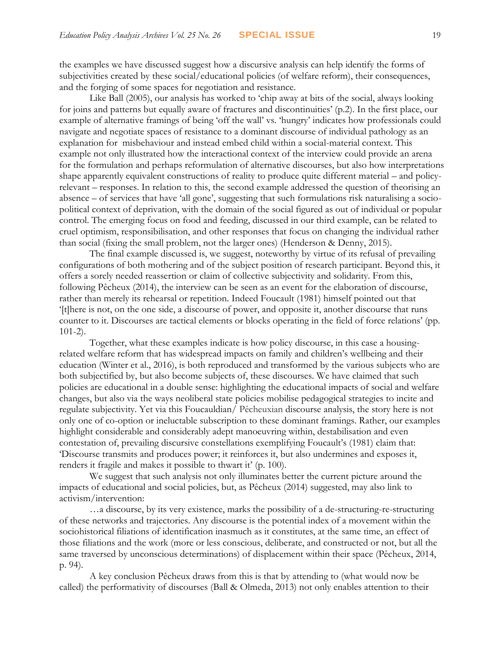the examples we have discussed suggest how a discursive analysis can help identify the forms of subjectivities created by these social/educational policies (of welfare reform), their consequences, and the forging of some spaces for negotiation and resistance.

Like Ball (2005), our analysis has worked to 'chip away at bits of the social, always looking for joins and patterns but equally aware of fractures and discontinuities' (p.2). In the first place, our example of alternative framings of being 'off the wall' vs. 'hungry' indicates how professionals could navigate and negotiate spaces of resistance to a dominant discourse of individual pathology as an explanation for misbehaviour and instead embed child within a social-material context. This example not only illustrated how the interactional context of the interview could provide an arena for the formulation and perhaps reformulation of alternative discourses, but also how interpretations shape apparently equivalent constructions of reality to produce quite different material – and policyrelevant – responses. In relation to this, the second example addressed the question of theorising an absence – of services that have 'all gone', suggesting that such formulations risk naturalising a sociopolitical context of deprivation, with the domain of the social figured as out of individual or popular control. The emerging focus on food and feeding, discussed in our third example, can be related to cruel optimism, responsibilisation, and other responses that focus on changing the individual rather than social (fixing the small problem, not the larger ones) (Henderson & Denny, 2015).

The final example discussed is, we suggest, noteworthy by virtue of its refusal of prevailing configurations of both mothering and of the subject position of research participant. Beyond this, it offers a sorely needed reassertion or claim of collective subjectivity and solidarity. From this, following Pêcheux (2014), the interview can be seen as an event for the elaboration of discourse, rather than merely its rehearsal or repetition. Indeed Foucault (1981) himself pointed out that '[t]here is not, on the one side, a discourse of power, and opposite it, another discourse that runs counter to it. Discourses are tactical elements or blocks operating in the field of force relations' (pp. 101-2).

Together, what these examples indicate is how policy discourse, in this case a housingrelated welfare reform that has widespread impacts on family and children's wellbeing and their education (Winter et al., 2016), is both reproduced and transformed by the various subjects who are both subjectified by, but also become subjects of, these discourses. We have claimed that such policies are educational in a double sense: highlighting the educational impacts of social and welfare changes, but also via the ways neoliberal state policies mobilise pedagogical strategies to incite and regulate subjectivity. Yet via this Foucauldian/ Pêcheuxian discourse analysis, the story here is not only one of co-option or ineluctable subscription to these dominant framings. Rather, our examples highlight considerable and considerably adept manoeuvring within, destabilisation and even contestation of, prevailing discursive constellations exemplifying Foucault's (1981) claim that: 'Discourse transmits and produces power; it reinforces it, but also undermines and exposes it, renders it fragile and makes it possible to thwart it' (p. 100).

We suggest that such analysis not only illuminates better the current picture around the impacts of educational and social policies, but, as Pêcheux (2014) suggested, may also link to activism/intervention:

…a discourse, by its very existence, marks the possibility of a de-structuring-re-structuring of these networks and trajectories. Any discourse is the potential index of a movement within the sociohistorical filiations of identification inasmuch as it constitutes, at the same time, an effect of those filiations and the work (more or less conscious, deliberate, and constructed or not, but all the same traversed by unconscious determinations) of displacement within their space (Pêcheux, 2014, p. 94).

A key conclusion Pêcheux draws from this is that by attending to (what would now be called) the performativity of discourses (Ball & Olmeda, 2013) not only enables attention to their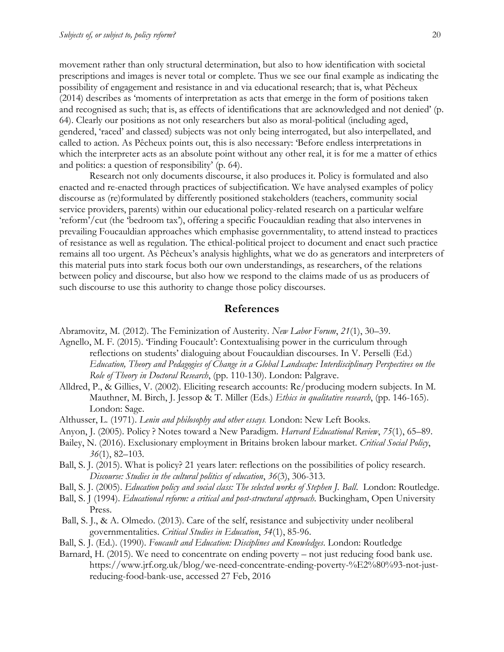movement rather than only structural determination, but also to how identification with societal prescriptions and images is never total or complete. Thus we see our final example as indicating the possibility of engagement and resistance in and via educational research; that is, what Pêcheux (2014) describes as 'moments of interpretation as acts that emerge in the form of positions taken and recognised as such; that is, as effects of identifications that are acknowledged and not denied' (p. 64). Clearly our positions as not only researchers but also as moral-political (including aged, gendered, 'raced' and classed) subjects was not only being interrogated, but also interpellated, and called to action. As Pêcheux points out, this is also necessary: 'Before endless interpretations in which the interpreter acts as an absolute point without any other real, it is for me a matter of ethics and politics: a question of responsibility' (p. 64).

Research not only documents discourse, it also produces it. Policy is formulated and also enacted and re-enacted through practices of subjectification. We have analysed examples of policy discourse as (re)formulated by differently positioned stakeholders (teachers, community social service providers, parents) within our educational policy-related research on a particular welfare 'reform'/cut (the 'bedroom tax'), offering a specific Foucauldian reading that also intervenes in prevailing Foucauldian approaches which emphasise governmentality, to attend instead to practices of resistance as well as regulation. The ethical-political project to document and enact such practice remains all too urgent. As Pêcheux's analysis highlights, what we do as generators and interpreters of this material puts into stark focus both our own understandings, as researchers, of the relations between policy and discourse, but also how we respond to the claims made of us as producers of such discourse to use this authority to change those policy discourses.

#### **References**

Abramovitz, M. (2012). The Feminization of Austerity. *New Labor Forum*, *21*(1), 30–39.

- Agnello, M. F. (2015). 'Finding Foucault': Contextualising power in the curriculum through reflections on students' dialoguing about Foucauldian discourses. In V. Perselli (Ed.) *Education, Theory and Pedagogies of Change in a Global Landscape: Interdisciplinary Perspectives on the Role of Theory in Doctoral Research*, (pp. 110-130). London: Palgrave.
- Alldred, P., & Gillies, V. (2002). Eliciting research accounts: Re/producing modern subjects. In M. Mauthner, M. Birch, J. Jessop & T. Miller (Eds.) *Ethics in qualitative research*, (pp. 146-165). London: Sage.
- Althusser, L. (1971). *Lenin and philosophy and other essays*. London: New Left Books.
- Anyon, J. (2005). Policy ? Notes toward a New Paradigm. *Harvard Educational Review*, *75*(1), 65–89.
- Bailey, N. (2016). Exclusionary employment in Britains broken labour market. *Critical Social Policy*, *36*(1), 82–103.
- Ball, S. J. (2015). What is policy? 21 years later: reflections on the possibilities of policy research. *Discourse: Studies in the cultural politics of education*, *36*(3), 306-313.
- Ball, S. J. (2005). *Education policy and social class: The selected works of Stephen J. Ball*. London: Routledge.
- Ball, S. J (1994). *Educational reform: a critical and post-structural approach.* Buckingham, Open University Press.
- Ball, S. J., & A. Olmedo. (2013). Care of the self, resistance and subjectivity under neoliberal governmentalities. *Critical Studies in Education*, *54*(1), 85-96.
- Ball, S. J. (Ed.). (1990). *Foucault and Education: Disciplines and Knowledges*. London: Routledge
- Barnard, H. (2015). We need to concentrate on ending poverty not just reducing food bank use. https://www.jrf.org.uk/blog/we-need-concentrate-ending-poverty-%E2%80%93-not-justreducing-food-bank-use, accessed 27 Feb, 2016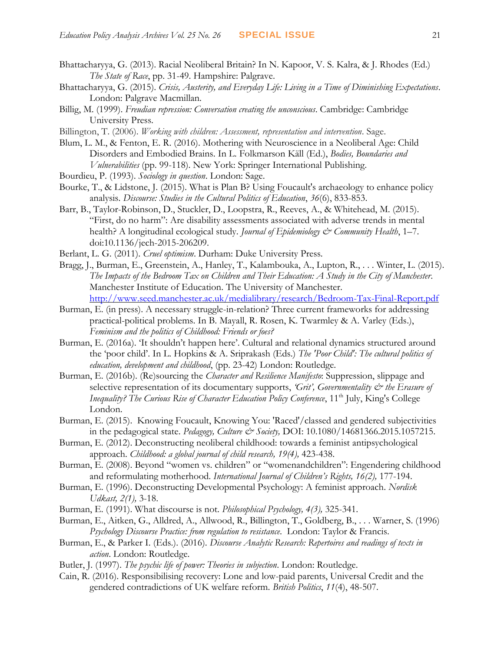- Bhattacharyya, G. (2013). Racial Neoliberal Britain? In N. Kapoor, V. S. Kalra, & J. Rhodes (Ed.) *The State of Race*, pp. 31-49. Hampshire: Palgrave.
- Bhattacharyya, G. (2015). *Crisis, Austerity, and Everyday Life: Living in a Time of Diminishing Expectations*. London: Palgrave Macmillan.
- Billig, M. (1999). *Freudian repression: Conversation creating the unconscious*. Cambridge: Cambridge University Press.
- Billington, T. (2006). *Working with children: Assessment, representation and intervention*. Sage.
- Blum, L. M., & Fenton, E. R. (2016). Mothering with Neuroscience in a Neoliberal Age: Child Disorders and Embodied Brains. In [L. Folkmarson Käll](http://link.springer.com/search?facet-creator=%22Lisa+Folkmarson+K%C3%A4ll%22) (Ed.), *Bodies, Boundaries and Vulnerabilities* (pp. 99-118). New York: Springer International Publishing.
- Bourdieu, P. (1993). *Sociology in question*. London: Sage.
- Bourke, T., & Lidstone, J. (2015). What is Plan B? Using Foucault's archaeology to enhance policy analysis. *Discourse: Studies in the Cultural Politics of Education*, *36*(6), 833-853.
- Barr, B., Taylor-Robinson, D., Stuckler, D., Loopstra, R., Reeves, A., & Whitehead, M. (2015). "First, do no harm": Are disability assessments associated with adverse trends in mental health? A longitudinal ecological study. *Journal of Epidemiology & Community Health*, 1–7. doi:10.1136/jech-2015-206209.
- Berlant, L. G. (2011). *Cruel optimism*. Durham: Duke University Press.
- Bragg, J., Burman, E., Greenstein, A., Hanley, T., Kalambouka, A., Lupton, R., . . . Winter, L. (2015). *The Impacts of the Bedroom Tax on Children and Their Education: A Study in the City of Manchester*. Manchester Institute of Education. The University of Manchester. <http://www.seed.manchester.ac.uk/medialibrary/research/Bedroom-Tax-Final-Report.pdf>
- Burman, E. (in press). A necessary struggle-in-relation? Three current frameworks for addressing practical-political problems. In B. Mayall, R. Rosen, K. Twarmley & A. Varley (Eds.), *Feminism and the politics of Childhood: Friends or foes?*
- Burman, E. (2016a). 'It shouldn't happen here'. Cultural and relational dynamics structured around the 'poor child'. In L. Hopkins & A. Sriprakash (Eds.) *The 'Poor Child': The cultural politics of education, development and childhood*, (pp. 23-42) London: Routledge.
- Burman, E. (2016b). (Re)sourcing the *Character and Resilience Manifesto*: Suppression, slippage and selective representation of its documentary supports, 'Grit', Governmentality  $\mathcal{O}^*$  the Erasure of *Inequality? The Curious Rise of Character Education Policy Conference*, 11<sup>th</sup> July, King's College London.
- Burman, E. (2015). Knowing Foucault, Knowing You: 'Raced'/classed and gendered subjectivities in the pedagogical state. *Pedagogy, Culture & Society*, *DOI*: 10.1080/14681366.2015.1057215.
- Burman, E. (2012). Deconstructing neoliberal childhood: towards a feminist antipsychological approach. *Childhood: a global journal of child research, 19(4),* 423-438.
- Burman, E. (2008). Beyond "women vs. children" or "womenandchildren": Engendering childhood and reformulating motherhood. *International Journal of Children's Rights, 16(2),* 177-194.
- Burman, E. (1996). Deconstructing Developmental Psychology: A feminist approach. *Nordisk Udkast, 2(1),* 3-18.
- Burman, E. (1991). What discourse is not. *Philosophical Psychology, 4(3),* 325-341.
- Burman, E., Aitken, G., Alldred, A., Allwood, R., Billington, T., Goldberg, B., . . . Warner, S. (1996) *Psychology Discourse Practice: from regulation to resistance*. London: Taylor & Francis.
- Burman, E., & Parker I. (Eds.). (2016). *Discourse Analytic Research: Repertoires and readings of texts in action*. London: Routledge.
- Butler, J. (1997). *The psychic life of power: Theories in subjection*. London: Routledge.
- Cain, R. (2016). Responsibilising recovery: Lone and low-paid parents, Universal Credit and the gendered contradictions of UK welfare reform. *British Politics*, *11*(4), 48-507.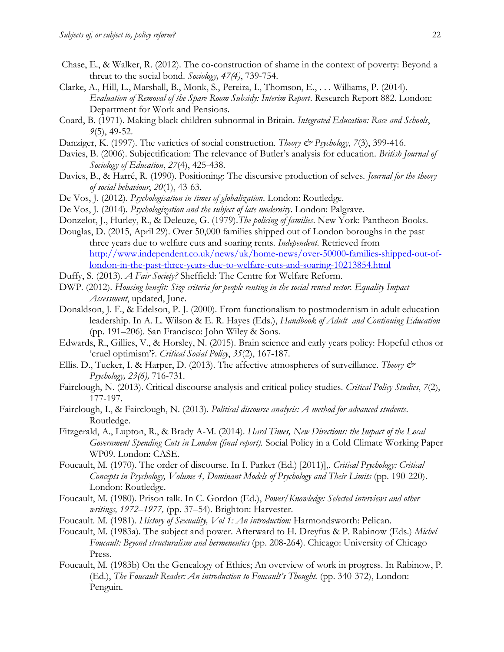- Chase, E., & Walker, R. (2012). The co-construction of shame in the context of poverty: Beyond a threat to the social bond. *Sociology, 47(4)*, 739-754.
- Clarke, A., Hill, L., Marshall, B., Monk, S., Pereira, I., Thomson, E., . . . Williams, P. (2014). *Evaluation of Removal of the Spare Room Subsidy: Interim Report*. Research Report 882. London: Department for Work and Pensions.
- Coard, B. (1971). Making black children subnormal in Britain. *Integrated Education: Race and Schools*, *9*(5), 49-52.
- Danziger, K. (1997). The varieties of social construction. *Theory & Psychology*, 7(3), 399-416.
- Davies, B. (2006). Subjectification: The relevance of Butler's analysis for education. *British Journal of Sociology of Education*, *27*(4), 425-438.
- Davies, B., & Harré, R. (1990). Positioning: The discursive production of selves. *Journal for the theory of social behaviour*, *20*(1), 43-63.
- De Vos, J. (2012). *Psychologisation in times of globalization*. London: Routledge.
- De Vos, J. (2014). *Psychologization and the subject of late modernity*. London: Palgrave.
- Donzelot, J., Hurley, R., & Deleuze, G. (1979).*The policing of families*. New York: Pantheon Books.
- Douglas, D. (2015, April 29). Over 50,000 families shipped out of London boroughs in the past three years due to welfare cuts and soaring rents. *Independent*. Retrieved from [http://www.independent.co.uk/news/uk/home-news/over-50000-families-shipped-out-of](http://www.independent.co.uk/news/uk/home-news/over-50000-families-shipped-out-of-london-in-the-past-three-years-due-to-welfare-cuts-and-soaring-10213854.html)[london-in-the-past-three-years-due-to-welfare-cuts-and-soaring-10213854.html](http://www.independent.co.uk/news/uk/home-news/over-50000-families-shipped-out-of-london-in-the-past-three-years-due-to-welfare-cuts-and-soaring-10213854.html)
- Duffy, S. (2013). *A Fair Society?* Sheffield: The Centre for Welfare Reform.
- DWP. (2012). *Housing benefit: Size criteria for people renting in the social rented sector. Equality Impact Assessment*, updated, June.
- Donaldson, J. F., & Edelson, P. J. (2000). From functionalism to postmodernism in adult education leadership. In A. L. Wilson & E. R. Hayes (Eds.), *Handbook of Adult and Continuing Education* (pp. 191–206). San Francisco: John Wiley & Sons.
- Edwards, R., Gillies, V., & Horsley, N. (2015). Brain science and early years policy: Hopeful ethos or 'cruel optimism'?. *Critical Social Policy*, *35*(2), 167-187.
- Ellis. D., Tucker, I. & Harper, D. (2013). The affective atmospheres of surveillance. *Theory & Psychology, 23(6),* 716-731.
- Fairclough, N. (2013). Critical discourse analysis and critical policy studies. *Critical Policy Studies*, *7*(2), 177-197.
- Fairclough, I., & Fairclough, N. (2013). *Political discourse analysis: A method for advanced students*. Routledge.
- Fitzgerald, A., Lupton, R., & Brady A-M. (2014). *Hard Times, New Directions: the Impact of the Local Government Spending Cuts in London (final report).* Social Policy in a Cold Climate Working Paper WP09. London: CASE.
- Foucault, M. (1970). The order of discourse. In I. Parker (Ed.) [2011)],. *Critical Psychology: Critical Concepts in Psychology, Volume 4, Dominant Models of Psychology and Their Limits (pp. 190-220).* London: Routledge.
- Foucault, M. (1980). Prison talk. In C. Gordon (Ed.), *Power/Knowledge: Selected interviews and other writings, 1972–1977,* (pp. 37–54). Brighton: Harvester.
- Foucault. M. (1981). *History of Sexuality, Vol 1: An introduction:* Harmondsworth: Pelican.
- Foucault, M. (1983a). The subject and power. Afterward to H. Dreyfus & P. Rabinow (Eds.) *Michel Foucault: Beyond structuralism and hermeneutics* (pp. 208-264). Chicago: University of Chicago Press.
- Foucault, M. (1983b) On the Genealogy of Ethics; An overview of work in progress. In Rabinow, P. (Ed.), *The Foucault Reader: An introduction to Foucault's Thought.* (pp. 340-372), London: Penguin.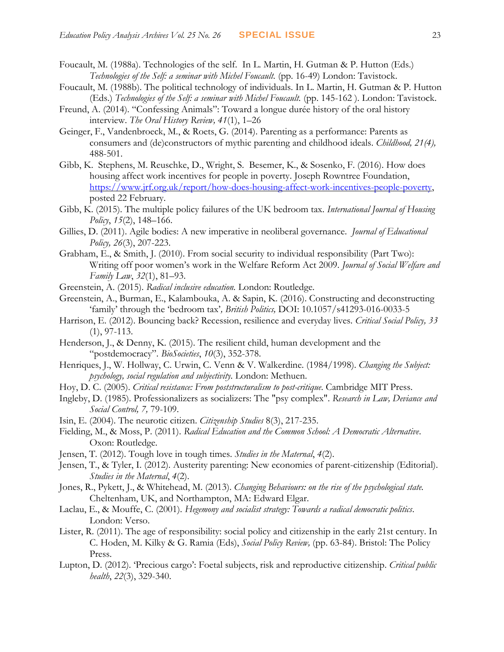- Foucault, M. (1988a). Technologies of the self. In L. Martin, H. Gutman & P. Hutton (Eds.) *Technologies of the Self: a seminar with Michel Foucault.* (pp. 16-49) London: Tavistock.
- Foucault, M. (1988b). The political technology of individuals. In L. Martin, H. Gutman & P. Hutton (Eds.) *Technologies of the Self: a seminar with Michel Foucault.* (pp. 145-162). London: Tavistock.
- Freund, A. (2014). "Confessing Animals": Toward a longue durée history of the oral history interview. *The Oral History Review, 41*(1), 1–26
- Geinger, F., Vandenbroeck, M., & Roets, G. (2014). Parenting as a performance: Parents as consumers and (de)constructors of mythic parenting and childhood ideals. *Childhood, 21(4),* 488-501.
- Gibb, K. Stephens, M. Reuschke, D., Wright, S. Besemer, K., & Sosenko, F. (2016). How does housing affect work incentives for people in poverty. Joseph Rowntree Foundation, [https://www.jrf.org.uk/report/how-does-housing-affect-work-incentives-people-poverty,](https://www.jrf.org.uk/report/how-does-housing-affect-work-incentives-people-poverty) posted 22 February.
- Gibb, K. (2015). The multiple policy failures of the UK bedroom tax. *International Journal of Housing Policy*, *15*(2), 148–166.
- Gillies, D. (2011). Agile bodies: A new imperative in neoliberal governance. *Journal of Educational Policy, 26*(3), 207-223.
- Grabham, E., & Smith, J. (2010). From social security to individual responsibility (Part Two): Writing off poor women's work in the Welfare Reform Act 2009. *Journal of Social Welfare and Family Law*, *32*(1), 81–93.
- Greenstein, A. (2015). *Radical inclusive education.* London: Routledge.
- Greenstein, A., Burman, E., Kalambouka, A. & Sapin, K. (2016). Constructing and deconstructing 'family' through the 'bedroom tax'*, British Politics,* DOI: 10.1057/s41293-016-0033-5
- Harrison, E. (2012). Bouncing back? Recession, resilience and everyday lives. *Critical Social Policy, 33*  (1), 97-113.
- Henderson, J., & Denny, K. (2015). The resilient child, human development and the "postdemocracy". *BioSocieties*, *10*(3), 352-378.
- Henriques, J., W. Hollway, C. Urwin, C. Venn & V. Walkerdine. (1984/1998). *Changing the Subject: psychology, social regulation and subjectivity.* London: Methuen.
- Hoy, D. C. (2005). *Critical resistance: From poststructuralism to post-critique*. Cambridge MIT Press.
- Ingleby, D. (1985). Professionalizers as socializers: The "psy complex". *Research in Law, Deviance and Social Control, 7,* 79-109.
- Isin, E. (2004). The neurotic citizen. *Citizenship Studies* 8(3), 217-235.
- Fielding, M., & Moss, P. (2011). *Radical Education and the Common School: A Democratic Alternative*. Oxon: Routledge.
- Jensen, T. (2012). Tough love in tough times. *Studies in the Maternal*, *4*(2).
- Jensen, T., & Tyler, I. (2012). Austerity parenting: New economies of parent-citizenship (Editorial). *Studies in the Maternal*, *4*(2).
- Jones, R., Pykett, J., & Whitehead, M. (2013). *Changing Behaviours: on the rise of the psychological state.*  Cheltenham, UK, and Northampton, MA: Edward Elgar.
- Laclau, E., & Mouffe, C. (2001). *Hegemony and socialist strategy: Towards a radical democratic politics*. London: Verso.
- Lister, R. (2011). The age of responsibility: social policy and citizenship in the early 21st century. In C. Hoden, M. Kilky & G. Ramia (Eds), *Social Policy Review,* (pp. 63-84). Bristol: The Policy Press.
- Lupton, D. (2012). 'Precious cargo': Foetal subjects, risk and reproductive citizenship. *Critical public health*, *22*(3), 329-340.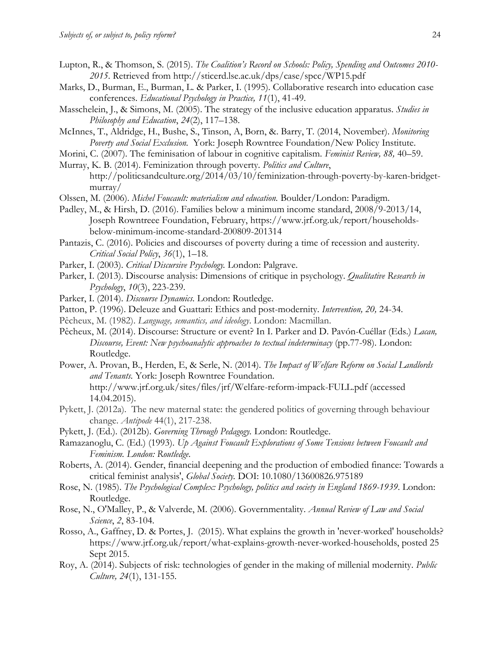- Lupton, R., & Thomson, S. (2015). *The Coalition's Record on Schools: Policy, Spending and Outcomes 2010- 2015*. Retrieved from http://sticerd.lse.ac.uk/dps/case/spcc/WP15.pdf
- Marks, D., Burman, E., Burman, L. & Parker, I. (1995). Collaborative research into education case conferences. *Educational Psychology in Practice, 11*(1), 41-49.
- Masschelein, J., & Simons, M. (2005). The strategy of the inclusive education apparatus. *Studies in Philosophy and Education*, *24*(2), 117–138.
- McInnes, T., Aldridge, H., Bushe, S., Tinson, A, Born, &. Barry, T. (2014, November). *Monitoring Poverty and Social Exclusion.* York: Joseph Rowntree Foundation/New Policy Institute.
- Morini, C. (2007). The feminisation of labour in cognitive capitalism. *Feminist Review, 88,* 40–59.
- [Murray, K. B. \(2014\). Feminization through poverty.](https://outlook.manchester.ac.uk/owa/redir.aspx?SURL=39MBt6ENyVP4uBx_2gYdDBngtzHNpXBgFXL1IivQluynZE-LofLSCGgAdAB0AHAAOgAvAC8AcABvAGwAaQB0AGkAYwBzAGEAbgBkAGMAdQBsAHQAdQByAGUALgBvAHIAZwAvADIAMAAxADQALwAwADMALwAxADAALwBmAGUAbQBpAG4AaQB6AGEAdABpAG8AbgAtAHQAaAByAG8AdQBnAGgALQBwAG8AdgBlAHIAdAB5AC0AYgB5AC0AawBhAHIAZQBuAC0AYgByAGkAZABnAGUAdAAtAG0AdQByAHIAYQB5AC8A&URL=http%253a%252f%252fpoliticsandculture.org%252f2014%252f03%252f10%252ffeminization-through-poverty-by-karen-bridget-murray%252f) *[Politics and Culture](https://outlook.manchester.ac.uk/owa/redir.aspx?SURL=39MBt6ENyVP4uBx_2gYdDBngtzHNpXBgFXL1IivQluynZE-LofLSCGgAdAB0AHAAOgAvAC8AcABvAGwAaQB0AGkAYwBzAGEAbgBkAGMAdQBsAHQAdQByAGUALgBvAHIAZwAvADIAMAAxADQALwAwADMALwAxADAALwBmAGUAbQBpAG4AaQB6AGEAdABpAG8AbgAtAHQAaAByAG8AdQBnAGgALQBwAG8AdgBlAHIAdAB5AC0AYgB5AC0AawBhAHIAZQBuAC0AYgByAGkAZABnAGUAdAAtAG0AdQByAHIAYQB5AC8A&URL=http%253a%252f%252fpoliticsandculture.org%252f2014%252f03%252f10%252ffeminization-through-poverty-by-karen-bridget-murray%252f)*[,](https://outlook.manchester.ac.uk/owa/redir.aspx?SURL=39MBt6ENyVP4uBx_2gYdDBngtzHNpXBgFXL1IivQluynZE-LofLSCGgAdAB0AHAAOgAvAC8AcABvAGwAaQB0AGkAYwBzAGEAbgBkAGMAdQBsAHQAdQByAGUALgBvAHIAZwAvADIAMAAxADQALwAwADMALwAxADAALwBmAGUAbQBpAG4AaQB6AGEAdABpAG8AbgAtAHQAaAByAG8AdQBnAGgALQBwAG8AdgBlAHIAdAB5AC0AYgB5AC0AawBhAHIAZQBuAC0AYgByAGkAZABnAGUAdAAtAG0AdQByAHIAYQB5AC8A&URL=http%253a%252f%252fpoliticsandculture.org%252f2014%252f03%252f10%252ffeminization-through-poverty-by-karen-bridget-murray%252f)  [http://politicsandculture.org/2014/03/10/feminization-through-poverty-by-karen-bridget](https://outlook.manchester.ac.uk/owa/redir.aspx?SURL=39MBt6ENyVP4uBx_2gYdDBngtzHNpXBgFXL1IivQluynZE-LofLSCGgAdAB0AHAAOgAvAC8AcABvAGwAaQB0AGkAYwBzAGEAbgBkAGMAdQBsAHQAdQByAGUALgBvAHIAZwAvADIAMAAxADQALwAwADMALwAxADAALwBmAGUAbQBpAG4AaQB6AGEAdABpAG8AbgAtAHQAaAByAG8AdQBnAGgALQBwAG8AdgBlAHIAdAB5AC0AYgB5AC0AawBhAHIAZQBuAC0AYgByAGkAZABnAGUAdAAtAG0AdQByAHIAYQB5AC8A&URL=http%253a%252f%252fpoliticsandculture.org%252f2014%252f03%252f10%252ffeminization-through-poverty-by-karen-bridget-murray%252f)[murray/](https://outlook.manchester.ac.uk/owa/redir.aspx?SURL=39MBt6ENyVP4uBx_2gYdDBngtzHNpXBgFXL1IivQluynZE-LofLSCGgAdAB0AHAAOgAvAC8AcABvAGwAaQB0AGkAYwBzAGEAbgBkAGMAdQBsAHQAdQByAGUALgBvAHIAZwAvADIAMAAxADQALwAwADMALwAxADAALwBmAGUAbQBpAG4AaQB6AGEAdABpAG8AbgAtAHQAaAByAG8AdQBnAGgALQBwAG8AdgBlAHIAdAB5AC0AYgB5AC0AawBhAHIAZQBuAC0AYgByAGkAZABnAGUAdAAtAG0AdQByAHIAYQB5AC8A&URL=http%253a%252f%252fpoliticsandculture.org%252f2014%252f03%252f10%252ffeminization-through-poverty-by-karen-bridget-murray%252f)
- Olssen, M. (2006). *Michel Foucault: materialism and education.* Boulder/London: Paradigm.
- Padley, M., & Hirsh, D. (2016). Families below a minimum income standard, 2008/9-2013/14, Joseph Rowntreee Foundation, February, https://www.jrf.org.uk/report/householdsbelow-minimum-income-standard-200809-201314
- Pantazis, C. (2016). Policies and discourses of poverty during a time of recession and austerity. *Critical Social Policy*, *36*(1), 1–18.
- Parker, I. (2003). *Critical Discursive Psychology.* London: Palgrave.
- Parker, I. (2013). Discourse analysis: Dimensions of critique in psychology. *Qualitative Research in Psychology*, *10*(3), 223-239.
- Parker, I. (2014). *Discourse Dynamics.* London: Routledge.
- Patton, P. (1996). Deleuze and Guattari: Ethics and post-modernity. *Intervention, 20,* 24-34.
- Pêcheux, M. (1982). *Language, semantics, and ideology*. London: Macmillan.
- Pêcheux, M. (2014). Discourse: Structure or event? In I. Parker and D. Pavón-Cuéllar (Eds.) *Lacan, Discourse, Event: New psychoanalytic approaches to textual indeterminacy* (pp.77-98). London: Routledge.
- Power, A. Provan, B., Herden, E, & Serle, N. (2014). *The Impact of Welfare Reform on Social Landlords and Tenants.* York: Joseph Rowntree Foundation. <http://www.jrf.org.uk/sites/files/jrf/Welfare-reform-impack-FULL.pdf> (accessed 14.04.2015).
- Pykett, J. (2012a). The new maternal state: the gendered politics of governing through behaviour change. *Antipode* 44(1), 217-238.
- Pykett, J. (Ed.). (2012b). *Governing Through Pedagogy.* London: Routledge.
- Ramazanoglu, С. (Ed.) (1993). *Up Against Foucault Explorations of Some Tensions between Foucault and Feminism. London: Routledge*.
- Roberts, A. (2014). Gender, financial deepening and the production of embodied finance: Towards a critical feminist analysis', *Global Society.* DOI: 10.1080/13600826.975189
- Rose, N. (1985). *The Psychological Complex: Psychology, politics and society in England 1869-1939*. London: Routledge.
- Rose, N., O'Malley, P., & Valverde, M. (2006). Governmentality. *Annual Review of Law and Social Science*, *2*, 83-104.
- Rosso, A., Gaffney, D. & Portes, J. (2015). What explains the growth in 'never-worked' households? https://www.jrf.org.uk/report/what-explains-growth-never-worked-households, posted 25 Sept 2015.
- Roy, A. (2014). Subjects of risk: technologies of gender in the making of millenial modernity. *Public Culture, 24*(1), 131-155.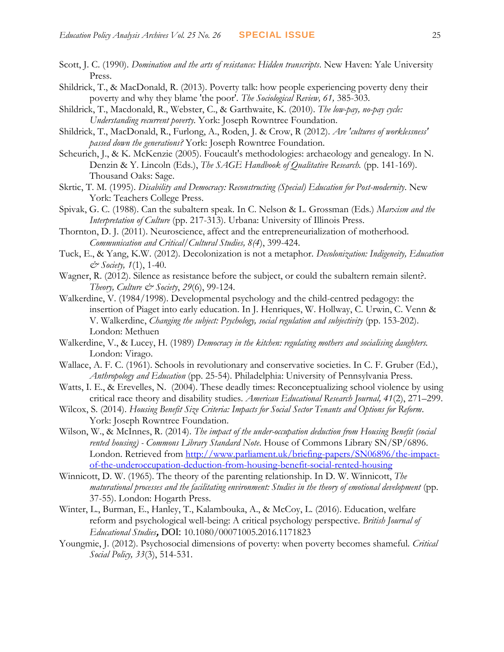- Scott, J. C. (1990). *Domination and the arts of resistance: Hidden transcripts*. New Haven: Yale University Press.
- Shildrick, T., & MacDonald, R. (2013). Poverty talk: how people experiencing poverty deny their poverty and why they blame 'the poor'*. The Sociological Review, 61,* 385-303.
- Shildrick, T., Macdonald, R., Webster, C., & Garthwaite, K. (2010). *The low-pay, no-pay cycle: Understanding recurrent poverty.* York: Joseph Rowntree Foundation.
- Shildrick, T., MacDonald, R., Furlong, A., Roden, J. & Crow, R (2012). *Are 'cultures of worklessness' passed down the generations?* York: Joseph Rowntree Foundation.
- Scheurich, J., & K. McKenzie (2005). Foucault's methodologies: archaeology and genealogy. In N. Denzin & Y. Lincoln (Eds.), *The SAGE Handbook of Qualitative Research.* (pp. 141-169). Thousand Oaks: Sage.
- Skrtic, T. M. (1995). *Disability and Democracy: Reconstructing (Special) Education for Post-modernity*. New York: Teachers College Press.
- Spivak, G. C. (1988). Can the subaltern speak. In C. Nelson & L. Grossman (Eds.) *Marxism and the Interpretation of Culture* (pp. 217-313). Urbana: University of Illinois Press.
- Thornton, D. J. (2011). Neuroscience, affect and the entrepreneurialization of motherhood. *Communication and Critical/Cultural Studies, 8(4*), 399-424.
- Tuck, E., & Yang, K.W. (2012). Decolonization is not a metaphor. *Decolonization: Indigeneity, Education & Society, 1*(1), 1-40.
- Wagner, R. (2012). Silence as resistance before the subject, or could the subaltern remain silent?. *Theory, Culture & Society*, *29*(6), 99-124.
- Walkerdine, V. (1984/1998). Developmental psychology and the child-centred pedagogy: the insertion of Piaget into early education. In J. Henriques, W. Hollway, C. Urwin, C. Venn & V. Walkerdine, *Changing the subject: Psychology, social regulation and subjectivity* (pp. 153-202). London: Methuen
- Walkerdine, V., & Lucey, H. (1989) *Democracy in the kitchen: regulating mothers and socialising daughters.*  London: Virago.
- Wallace, A. F. C. (1961). Schools in revolutionary and conservative societies. In C. F. Gruber (Ed.), *Anthropology and Education* (pp. 25-54). Philadelphia: University of Pennsylvania Press.
- Watts, I. E., & Erevelles, N. (2004). These deadly times: Reconceptualizing school violence by using critical race theory and disability studies. *American Educational Research Journal, 41*(2), 271–299.
- Wilcox, S. (2014). *Housing Benefit Size Criteria: Impacts for Social Sector Tenants and Options for Reform*. York: Joseph Rowntree Foundation.
- Wilson, W., & McInnes, R. (2014). *The impact of the under-occupation deduction from Housing Benefit (social rented housing) - Commons Library Standard Note*. House of Commons Library SN/SP/6896. London. Retrieved from [http://www.parliament.uk/briefing-papers/SN06896/the-impact](http://www.parliament.uk/briefing-papers/SN06896/the-impact-of-the-underoccupation-deduction-from-housing-benefit-social-rented-housing)[of-the-underoccupation-deduction-from-housing-benefit-social-rented-housing](http://www.parliament.uk/briefing-papers/SN06896/the-impact-of-the-underoccupation-deduction-from-housing-benefit-social-rented-housing)
- Winnicott, D. W. (1965). The theory of the parenting relationship. In D. W. Winnicott, *The maturational processes and the facilitating environment: Studies in the theory of emotional development* (pp. 37-55). London: Hogarth Press.
- Winter, L., Burman, E., Hanley, T., Kalambouka, A., & McCoy, L. (2016). Education, welfare reform and psychological well-being: A critical psychology perspective. *British Journal of Educational Studies***,** DOI: 10.1080/00071005.2016.1171823
- Youngmie, J. (2012). Psychosocial dimensions of poverty: when poverty becomes shameful. *Critical Social Policy, 33*(3), 514-531.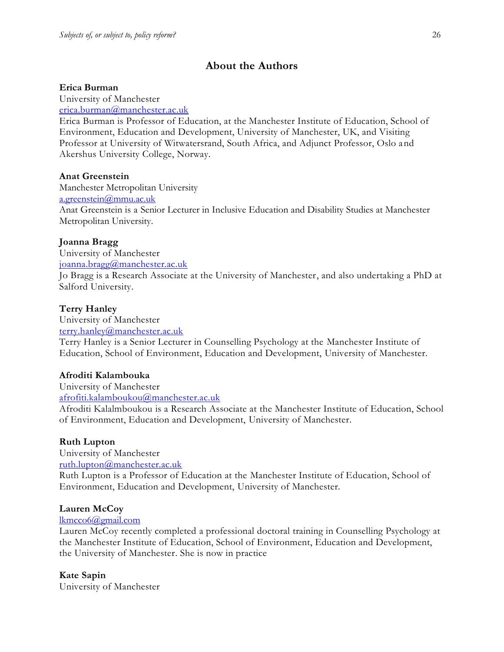# **About the Authors**

#### **Erica Burman**

University of Manchester

[erica.burman@manchester.ac.uk](mailto:erica.burman@manchester.ac.uk)

Erica Burman is Professor of Education, at the Manchester Institute of Education, School of Environment, Education and Development, University of Manchester, UK, and Visiting Professor at University of Witwatersrand, South Africa, and Adjunct Professor, Oslo and Akershus University College, Norway.

#### **Anat Greenstein**

Manchester Metropolitan University [a.greenstein@mmu.ac.uk](mailto:a.greenstein@mmu.ac.uk) Anat Greenstein is a Senior Lecturer in Inclusive Education and Disability Studies at Manchester Metropolitan University.

#### **Joanna Bragg**

University of Manchester [joanna.bragg@manchester.ac.uk](mailto:joanna.bragg@manchester.ac.uk)

Jo Bragg is a Research Associate at the University of Manchester, and also undertaking a PhD at Salford University.

#### **Terry Hanley**

University of Manchester [terry.hanley@manchester.ac.uk](mailto:terry.hanley@manchester.ac.uk)

Terry Hanley is a Senior Lecturer in Counselling Psychology at the Manchester Institute of Education, School of Environment, Education and Development, University of Manchester.

#### **Afroditi Kalambouka**

University of Manchester

[afrofiti.kalamboukou@manchester.ac.uk](mailto:afrofiti.kalamboukou@manchester.ac.uk)

Afroditi Kalalmboukou is a Research Associate at the Manchester Institute of Education, School of Environment, Education and Development, University of Manchester.

#### **Ruth Lupton**

University of Manchester [ruth.lupton@manchester.ac.uk](mailto:ruth.lupton@manchester.ac.uk)

Ruth Lupton is a Professor of Education at the Manchester Institute of Education, School of Environment, Education and Development, University of Manchester.

#### **Lauren McCoy**

#### [lkmcco6@gmail.com](mailto:lkmcco6@gmail.com)

Lauren McCoy recently completed a professional doctoral training in Counselling Psychology at the Manchester Institute of Education, School of Environment, Education and Development, the University of Manchester. She is now in practice

## **Kate Sapin**

University of Manchester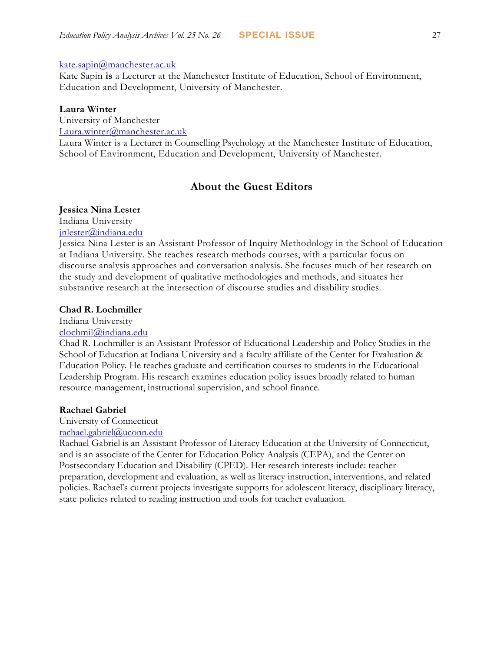#### [kate.sapin@manchester.ac.uk](mailto:kate.sapin@manchester.ac.uk)

Kate Sapin **is** a Lecturer at the Manchester Institute of Education, School of Environment, Education and Development, University of Manchester.

#### **Laura Winter**

University of Manchester [Laura.winter@manchester.ac.uk](mailto:Laura.winter@manchester.ac.uk)

Laura Winter is a Lecturer in Counselling Psychology at the Manchester Institute of Education, School of Environment, Education and Development, University of Manchester.

# **About the Guest Editors**

#### **Jessica Nina Lester**

Indiana University

[jnlester@indiana.edu](mailto:clochmil@indiana.edu)

Jessica Nina Lester is an Assistant Professor of Inquiry Methodology in the School of Education at Indiana University. She teaches research methods courses, with a particular focus on discourse analysis approaches and conversation analysis. She focuses much of her research on the study and development of qualitative methodologies and methods, and situates her substantive research at the intersection of discourse studies and disability studies.

#### **Chad R. Lochmiller**

Indiana University

## [clochmil@indiana.edu](mailto:clochmil@indiana.edu)

Chad R. Lochmiller is an Assistant Professor of Educational Leadership and Policy Studies in the School of Education at Indiana University and a faculty affiliate of the Center for Evaluation & Education Policy. He teaches graduate and certification courses to students in the Educational Leadership Program. His research examines education policy issues broadly related to human resource management, instructional supervision, and school finance.

#### **Rachael Gabriel**

University of Connecticut [rachael.gabriel@uconn.edu](mailto:rachael.gabriel@uconn.edu)

Rachael Gabriel is an Assistant Professor of Literacy Education at the University of Connecticut, and is an associate of the Center for Education Policy Analysis (CEPA), and the Center on Postsecondary Education and Disability (CPED). Her research interests include: teacher preparation, development and evaluation, as well as literacy instruction, interventions, and related policies. Rachael's current projects investigate supports for adolescent literacy, disciplinary literacy, state policies related to reading instruction and tools for teacher evaluation.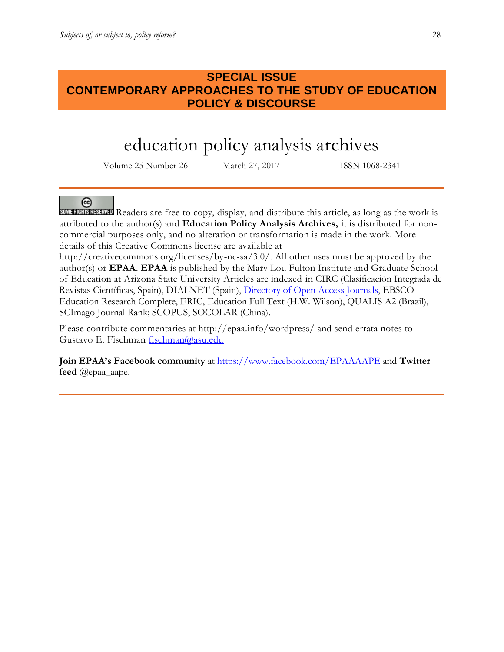# **SPECIAL ISSUE CONTEMPORARY APPROACHES TO THE STUDY OF EDUCATION POLICY & DISCOURSE**

# education policy analysis archives

Volume 25 Number 26 March 27, 2017 ISSN 1068-2341

## ര

SUMERICIAL Readers are free to copy, display, and distribute this article, as long as the work is attributed to the author(s) and **Education Policy Analysis Archives,** it is distributed for noncommercial purposes only, and no alteration or transformation is made in the work. More details of this Creative Commons license are available at

http://creativecommons.org/licenses/by-nc-sa/3.0/. All other uses must be approved by the author(s) or **EPAA**. **EPAA** is published by the Mary Lou Fulton Institute and Graduate School of Education at Arizona State University Articles are indexed in CIRC (Clasificación Integrada de Revistas Científicas, Spain), DIALNET (Spain), [Directory of Open Access Journals,](http://www.doaj.org/) EBSCO Education Research Complete, ERIC, Education Full Text (H.W. Wilson), QUALIS A2 (Brazil), SCImago Journal Rank; SCOPUS, SOCOLAR (China).

Please contribute commentaries at http://epaa.info/wordpress/ and send errata notes to Gustavo E. Fischman [fischman@asu.edu](mailto:fischman@asu.edu)

**Join EPAA's Facebook community** at<https://www.facebook.com/EPAAAAPE> and **Twitter feed** @epaa\_aape.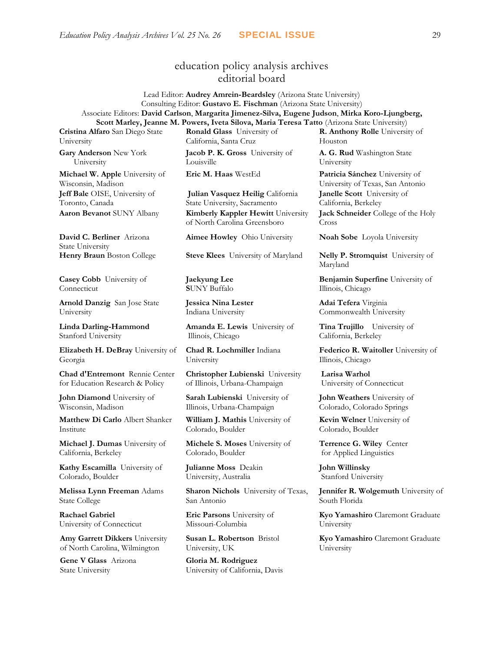## education policy analysis archives editorial board

Lead Editor: **Audrey Amrein-Beardsley** (Arizona State University) Consulting Editor: **Gustavo E. Fischman** (Arizona State University) Associate Editors: **David Carlson**, **Margarita Jimenez-Silva, Eugene Judson**, **Mirka Koro-Ljungberg, Scott Marley, Jeanne M. Powers, Iveta Silova, Maria Teresa Tatto** (Arizona State University)

**Cristina Alfaro** San Diego State University

**Gary Anderson** New York University

**Michael W. Apple** University of Wisconsin, Madison **Jeff Bale** OISE, University of Toronto, Canada

**David C. Berliner** Arizona State University

**Casey Cobb** University of Connecticut

**Arnold Danzig** San Jose State University

**Linda Darling-Hammond**  Stanford University

**Elizabeth H. DeBray** University of Georgia

**Chad d'Entremont** Rennie Center for Education Research & Policy

**John Diamond** University of Wisconsin, Madison

**Matthew Di Carlo** Albert Shanker Institute

**Michael J. Dumas** University of California, Berkeley

**Kathy Escamilla** University of Colorado, Boulder

**Melissa Lynn Freeman** Adams State College

**Rachael Gabriel** University of Connecticut

**Amy Garrett Dikkers** University of North Carolina, Wilmington

**Gene V Glass** Arizona State University

**Ronald Glass** University of California, Santa Cruz

**Jacob P. K. Gross** University of Louisville

**Julian Vasquez Heilig** California State University, Sacramento **Aaron Bevanot** SUNY Albany **Kimberly Kappler Hewitt** University of North Carolina Greensboro

**Aimee Howley** Ohio University **Noah Sobe** Loyola University

**Henry Braun** Boston College **Steve Klees** University of Maryland **Nelly P. Stromquist** University of

**Jaekyung Lee S**UNY Buffalo

**Jessica Nina Lester** Indiana University

**Amanda E. Lewis** University of Illinois, Chicago

**Chad R. Lochmiller** Indiana University

**Christopher Lubienski** University of Illinois, Urbana-Champaign

**Sarah Lubienski** University of Illinois, Urbana-Champaign

**William J. Mathis** University of Colorado, Boulder

**Michele S. Moses** University of Colorado, Boulder

**Julianne Moss** Deakin University, Australia

**Sharon Nichols** University of Texas, San Antonio

**Eric Parsons** University of Missouri-Columbia

**Susan L. Robertson** Bristol University, UK

**Gloria M. Rodriguez** University of California, Davis **R. Anthony Rolle** University of Houston

**A. G. Rud** Washington State University

**Eric M. Haas** WestEd **Patricia Sánchez** University of University of Texas, San Antonio **Janelle Scott** University of California, Berkeley **Jack Schneider** College of the Holy Cross

Maryland

**Benjamin Superfine** University of Illinois, Chicago

**Adai Tefera** Virginia Commonwealth University

**Tina Trujillo** University of California, Berkeley

**Federico R. Waitoller** University of Illinois, Chicago

**Larisa Warhol** University of Connecticut

**John Weathers** University of Colorado, Colorado Springs

**Kevin Welner** University of Colorado, Boulder

**Terrence G. Wiley** Center for Applied Linguistics

**John Willinsky**  Stanford University

**Jennifer R. Wolgemuth** University of South Florida

**Kyo Yamashiro** Claremont Graduate University

**Kyo Yamashiro** Claremont Graduate University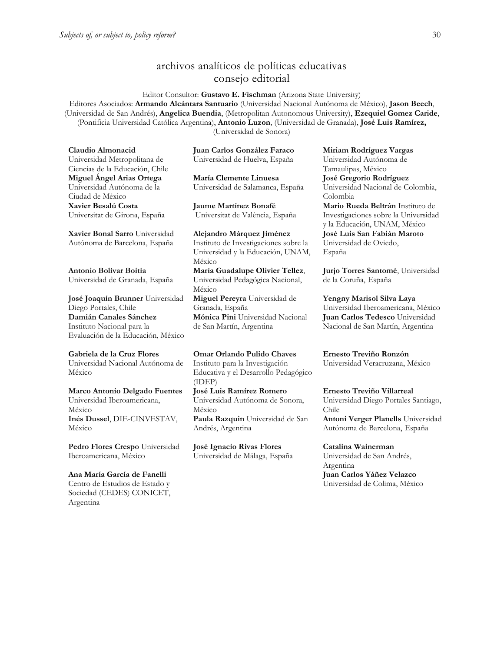## archivos analíticos de políticas educativas consejo editorial

Editor Consultor: **Gustavo E. Fischman** (Arizona State University) Editores Asociados: **Armando Alcántara Santuario** (Universidad Nacional Autónoma de México), **Jason Beech**, (Universidad de San Andrés), **Angelica Buendia**, (Metropolitan Autonomous University), **Ezequiel Gomez Caride**, (Pontificia Universidad Católica Argentina), **Antonio Luzon**, (Universidad de Granada), **José Luis Ramírez,** (Universidad de Sonora)

**Claudio Almonacid** Universidad Metropolitana de Ciencias de la Educación, Chile **Miguel Ángel Arias Ortega**  Universidad Autónoma de la Ciudad de México **Xavier Besalú Costa**  Universitat de Girona, España

**[Xavier Bonal](javascript:openRTWindow() Sarro** Universidad Autónoma de Barcelona, España

**[Antonio Bolívar](javascript:openRTWindow() Boitia** Universidad de Granada, España

**[José Joaquín Brunner](javascript:openRTWindow()** Universidad Diego Portales, Chile **[Damián Canales Sánchez](javascript:openRTWindow()** Instituto Nacional para la Evaluación de la Educación, México

**Gabriela de la Cruz Flores** Universidad Nacional Autónoma de México

**[Marco Antonio Delgado Fuentes](javascript:openRTWindow()** Universidad Iberoamericana, México **[Inés Dussel](javascript:openRTWindow()**, DIE-CINVESTAV, México

**[Pedro Flores Crespo](javascript:openRTWindow()** Universidad Iberoamericana, México

**Ana María García de Fanelli**  Centro de Estudios de Estado y Sociedad (CEDES) CONICET, Argentina

**Juan Carlos González Faraco**  Universidad de Huelva, España

**María Clemente Linuesa**  Universidad de Salamanca, España

**Jaume Martínez Bonafé** Universitat de València, España

**Alejandro Márquez Jiménez**  Instituto de Investigaciones sobre la Universidad y la Educación, UNAM, México **María Guadalupe Olivier Tellez**, Universidad Pedagógica Nacional, México **[Miguel Pereyra](javascript:openRTWindow()** Universidad de Granada, España **[Mónica Pini](javascript:openRTWindow()** Universidad Nacional de San Martín, Argentina

**Omar Orlando Pulido Chaves** Instituto para la Investigación Educativa y el Desarrollo Pedagógico (IDEP) **[José Luis Ramírez](javascript:openRTWindow() Romero**

Universidad Autónoma de Sonora, México **[Paula Razquin](javascript:openRTWindow()** Universidad de San Andrés, Argentina

**José Ignacio Rivas Flores** Universidad de Málaga, España **[Miriam Rodríguez Vargas](javascript:openRTWindow()** Universidad Autónoma de Tamaulipas, México **José Gregorio Rodríguez**  Universidad Nacional de Colombia, Colombia **[Mario Rueda Beltrán](javascript:openRTWindow()** Instituto de Investigaciones sobre la Universidad y la Educación, UNAM, México **José Luis San Fabián Maroto**  Universidad de Oviedo, España

**[Jurjo Torres Santomé](javascript:openRTWindow()**, Universidad de la Coruña, España

**[Yengny Marisol Silva Laya](javascript:openRTWindow()** Universidad Iberoamericana, México **Juan Carlos Tedesco** Universidad Nacional de San Martín, Argentina

**Ernesto Treviño Ronzón** Universidad Veracruzana, México

**[Ernesto Treviño](javascript:openRTWindow() Villarreal** Universidad Diego Portales Santiago, Chile **[Antoni Verger Planells](javascript:openRTWindow()** Universidad Autónoma de Barcelona, España

**[Catalina Wainerman](javascript:openRTWindow()** Universidad de San Andrés, Argentina **Juan Carlos Yáñez Velazco** Universidad de Colima, México